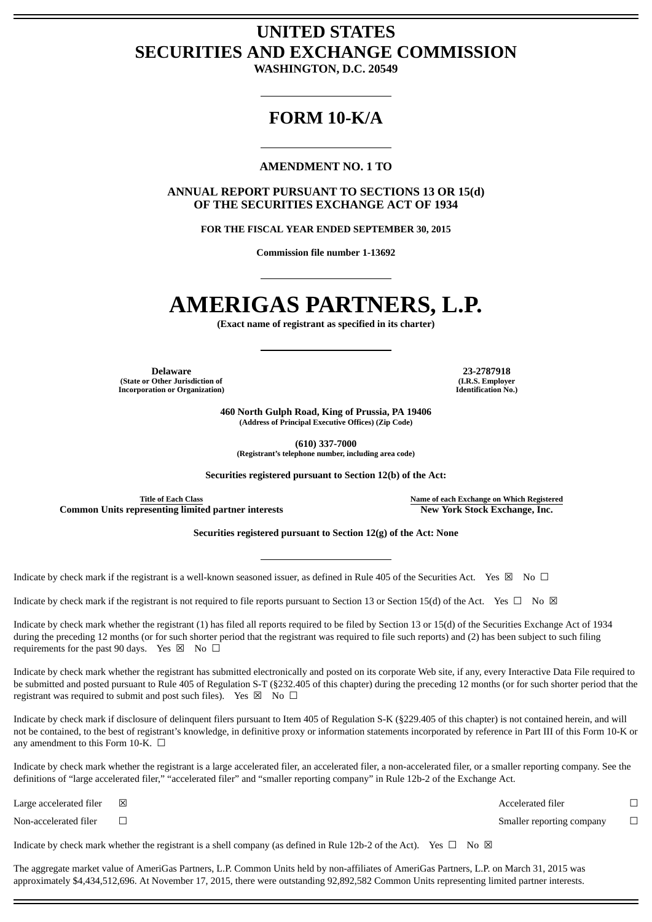# **UNITED STATES SECURITIES AND EXCHANGE COMMISSION**

**WASHINGTON, D.C. 20549**

# **FORM 10-K/A**

# **AMENDMENT NO. 1 TO**

**ANNUAL REPORT PURSUANT TO SECTIONS 13 OR 15(d) OF THE SECURITIES EXCHANGE ACT OF 1934**

**FOR THE FISCAL YEAR ENDED SEPTEMBER 30, 2015**

**Commission file number 1-13692**

# **AMERIGAS PARTNERS, L.P.**

**(Exact name of registrant as specified in its charter)**

**Delaware 23-2787918 (State or Other Jurisdiction of Incorporation or Organization)**

**(I.R.S. Employer Identification No.)**

**460 North Gulph Road, King of Prussia, PA 19406 (Address of Principal Executive Offices) (Zip Code)**

**(610) 337-7000**

**(Registrant's telephone number, including area code)**

**Securities registered pursuant to Section 12(b) of the Act:**

**Common** Units representing limited partner interests **New York** Stock Exchange, Inc.

**Title of Each Class Name of each Exchange on Which Registered**

**Securities registered pursuant to Section 12(g) of the Act: None**

Indicate by check mark if the registrant is a well-known seasoned issuer, as defined in Rule 405 of the Securities Act. Yes  $\boxtimes$  No  $\Box$ 

Indicate by check mark if the registrant is not required to file reports pursuant to Section 13 or Section 15(d) of the Act. Yes  $\Box$  No  $\boxtimes$ 

Indicate by check mark whether the registrant (1) has filed all reports required to be filed by Section 13 or 15(d) of the Securities Exchange Act of 1934 during the preceding 12 months (or for such shorter period that the registrant was required to file such reports) and (2) has been subject to such filing requirements for the past 90 days. Yes  $\boxtimes$  No  $\Box$ 

Indicate by check mark whether the registrant has submitted electronically and posted on its corporate Web site, if any, every Interactive Data File required to be submitted and posted pursuant to Rule 405 of Regulation S-T (§232.405 of this chapter) during the preceding 12 months (or for such shorter period that the registrant was required to submit and post such files). Yes  $\boxtimes$  No  $\Box$ 

Indicate by check mark if disclosure of delinquent filers pursuant to Item 405 of Regulation S-K (§229.405 of this chapter) is not contained herein, and will not be contained, to the best of registrant's knowledge, in definitive proxy or information statements incorporated by reference in Part III of this Form 10-K or any amendment to this Form 10-K.  $\Box$ 

Indicate by check mark whether the registrant is a large accelerated filer, an accelerated filer, a non-accelerated filer, or a smaller reporting company. See the definitions of "large accelerated filer," "accelerated filer" and "smaller reporting company" in Rule 12b-2 of the Exchange Act.

Large accelerated filer  $□$   $□$ 

Non-accelerated filer <del>□</del>

Indicate by check mark whether the registrant is a shell company (as defined in Rule 12b-2 of the Act). Yes  $\Box$  No  $\boxtimes$ 

The aggregate market value of AmeriGas Partners, L.P. Common Units held by non-affiliates of AmeriGas Partners, L.P. on March 31, 2015 was approximately \$4,434,512,696. At November 17, 2015, there were outstanding 92,892,582 Common Units representing limited partner interests.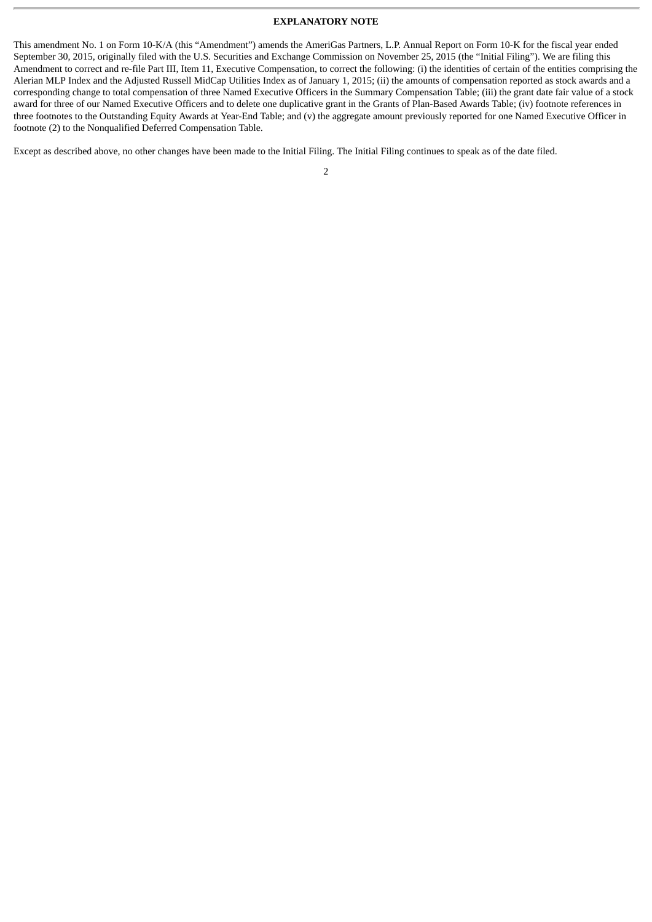#### **EXPLANATORY NOTE**

This amendment No. 1 on Form 10-K/A (this "Amendment") amends the AmeriGas Partners, L.P. Annual Report on Form 10-K for the fiscal year ended September 30, 2015, originally filed with the U.S. Securities and Exchange Commission on November 25, 2015 (the "Initial Filing"). We are filing this Amendment to correct and re-file Part III, Item 11, Executive Compensation, to correct the following: (i) the identities of certain of the entities comprising the Alerian MLP Index and the Adjusted Russell MidCap Utilities Index as of January 1, 2015; (ii) the amounts of compensation reported as stock awards and a corresponding change to total compensation of three Named Executive Officers in the Summary Compensation Table; (iii) the grant date fair value of a stock award for three of our Named Executive Officers and to delete one duplicative grant in the Grants of Plan-Based Awards Table; (iv) footnote references in three footnotes to the Outstanding Equity Awards at Year-End Table; and (v) the aggregate amount previously reported for one Named Executive Officer in footnote (2) to the Nonqualified Deferred Compensation Table.

Except as described above, no other changes have been made to the Initial Filing. The Initial Filing continues to speak as of the date filed.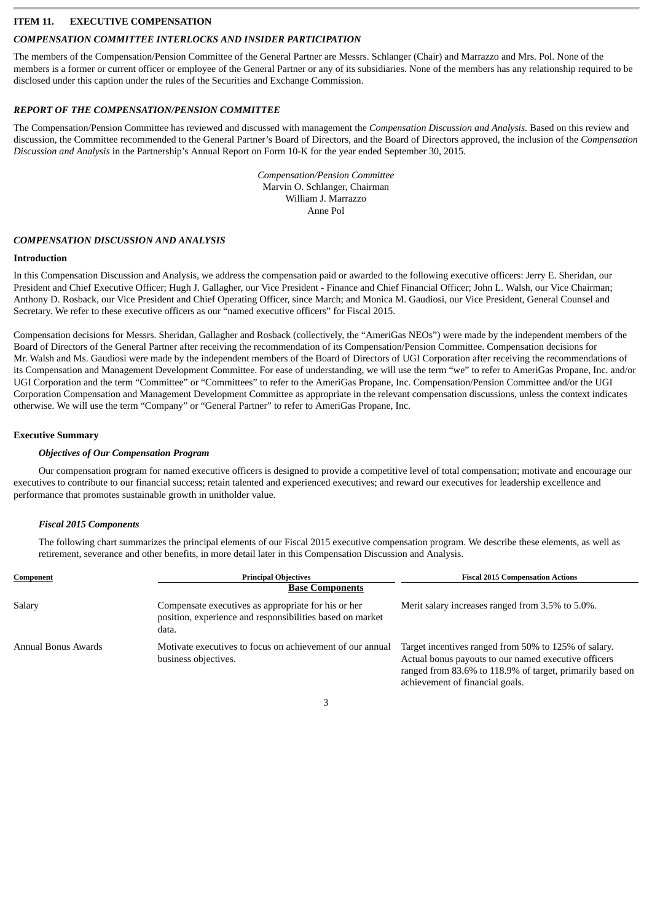# **ITEM 11. EXECUTIVE COMPENSATION**

# *COMPENSATION COMMITTEE INTERLOCKS AND INSIDER PARTICIPATION*

The members of the Compensation/Pension Committee of the General Partner are Messrs. Schlanger (Chair) and Marrazzo and Mrs. Pol. None of the members is a former or current officer or employee of the General Partner or any of its subsidiaries. None of the members has any relationship required to be disclosed under this caption under the rules of the Securities and Exchange Commission.

# *REPORT OF THE COMPENSATION/PENSION COMMITTEE*

The Compensation/Pension Committee has reviewed and discussed with management the *Compensation Discussion and Analysis.* Based on this review and discussion, the Committee recommended to the General Partner's Board of Directors, and the Board of Directors approved, the inclusion of the *Compensation Discussion and Analysis* in the Partnership's Annual Report on Form 10-K for the year ended September 30, 2015.

> *Compensation/Pension Committee* Marvin O. Schlanger, Chairman William J. Marrazzo Anne Pol

#### *COMPENSATION DISCUSSION AND ANALYSIS*

#### **Introduction**

In this Compensation Discussion and Analysis, we address the compensation paid or awarded to the following executive officers: Jerry E. Sheridan, our President and Chief Executive Officer; Hugh J. Gallagher, our Vice President - Finance and Chief Financial Officer; John L. Walsh, our Vice Chairman; Anthony D. Rosback, our Vice President and Chief Operating Officer, since March; and Monica M. Gaudiosi, our Vice President, General Counsel and Secretary. We refer to these executive officers as our "named executive officers" for Fiscal 2015.

Compensation decisions for Messrs. Sheridan, Gallagher and Rosback (collectively, the "AmeriGas NEOs") were made by the independent members of the Board of Directors of the General Partner after receiving the recommendation of its Compensation/Pension Committee. Compensation decisions for Mr. Walsh and Ms. Gaudiosi were made by the independent members of the Board of Directors of UGI Corporation after receiving the recommendations of its Compensation and Management Development Committee. For ease of understanding, we will use the term "we" to refer to AmeriGas Propane, Inc. and/or UGI Corporation and the term "Committee" or "Committees" to refer to the AmeriGas Propane, Inc. Compensation/Pension Committee and/or the UGI Corporation Compensation and Management Development Committee as appropriate in the relevant compensation discussions, unless the context indicates otherwise. We will use the term "Company" or "General Partner" to refer to AmeriGas Propane, Inc.

#### **Executive Summary**

#### *Objectives of Our Compensation Program*

Our compensation program for named executive officers is designed to provide a competitive level of total compensation; motivate and encourage our executives to contribute to our financial success; retain talented and experienced executives; and reward our executives for leadership excellence and performance that promotes sustainable growth in unitholder value.

# *Fiscal 2015 Components*

The following chart summarizes the principal elements of our Fiscal 2015 executive compensation program. We describe these elements, as well as retirement, severance and other benefits, in more detail later in this Compensation Discussion and Analysis.

| Component           | <b>Principal Objectives</b>                                                                                               | <b>Fiscal 2015 Compensation Actions</b>                                                                                                                                                                      |
|---------------------|---------------------------------------------------------------------------------------------------------------------------|--------------------------------------------------------------------------------------------------------------------------------------------------------------------------------------------------------------|
|                     | <b>Base Components</b>                                                                                                    |                                                                                                                                                                                                              |
| Salary              | Compensate executives as appropriate for his or her<br>position, experience and responsibilities based on market<br>data. | Merit salary increases ranged from 3.5% to 5.0%.                                                                                                                                                             |
| Annual Bonus Awards | Motivate executives to focus on achievement of our annual<br>business objectives.                                         | Target incentives ranged from 50% to 125% of salary.<br>Actual bonus payouts to our named executive officers<br>ranged from 83.6% to 118.9% of target, primarily based on<br>achievement of financial goals. |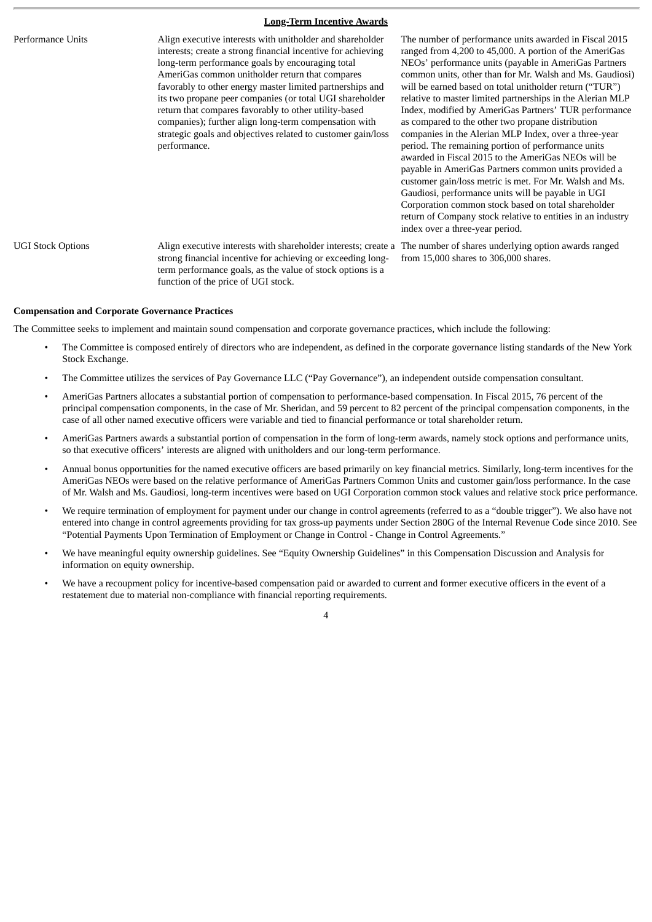#### **Long-Term Incentive Awards**

Performance Units Align executive interests with unitholder and shareholder interests; create a strong financial incentive for achieving long-term performance goals by encouraging total AmeriGas common unitholder return that compares favorably to other energy master limited partnerships and its two propane peer companies (or total UGI shareholder return that compares favorably to other utility-based companies); further align long-term compensation with strategic goals and objectives related to customer gain/loss performance.

The number of performance units awarded in Fiscal 2015 ranged from 4,200 to 45,000. A portion of the AmeriGas NEOs' performance units (payable in AmeriGas Partners common units, other than for Mr. Walsh and Ms. Gaudiosi) will be earned based on total unitholder return ("TUR") relative to master limited partnerships in the Alerian MLP Index, modified by AmeriGas Partners' TUR performance as compared to the other two propane distribution companies in the Alerian MLP Index, over a three-year period. The remaining portion of performance units awarded in Fiscal 2015 to the AmeriGas NEOs will be payable in AmeriGas Partners common units provided a customer gain/loss metric is met. For Mr. Walsh and Ms. Gaudiosi, performance units will be payable in UGI Corporation common stock based on total shareholder return of Company stock relative to entities in an industry index over a three-year period.

strong financial incentive for achieving or exceeding longterm performance goals, as the value of stock options is a function of the price of UGI stock.

UGI Stock Options Align executive interests with shareholder interests; create a The number of shares underlying option awards ranged from 15,000 shares to 306,000 shares.

#### **Compensation and Corporate Governance Practices**

The Committee seeks to implement and maintain sound compensation and corporate governance practices, which include the following:

- The Committee is composed entirely of directors who are independent, as defined in the corporate governance listing standards of the New York Stock Exchange.
- The Committee utilizes the services of Pay Governance LLC ("Pay Governance"), an independent outside compensation consultant.
- AmeriGas Partners allocates a substantial portion of compensation to performance-based compensation. In Fiscal 2015, 76 percent of the principal compensation components, in the case of Mr. Sheridan, and 59 percent to 82 percent of the principal compensation components, in the case of all other named executive officers were variable and tied to financial performance or total shareholder return.
- AmeriGas Partners awards a substantial portion of compensation in the form of long-term awards, namely stock options and performance units, so that executive officers' interests are aligned with unitholders and our long-term performance.
- Annual bonus opportunities for the named executive officers are based primarily on key financial metrics. Similarly, long-term incentives for the AmeriGas NEOs were based on the relative performance of AmeriGas Partners Common Units and customer gain/loss performance. In the case of Mr. Walsh and Ms. Gaudiosi, long-term incentives were based on UGI Corporation common stock values and relative stock price performance.
- We require termination of employment for payment under our change in control agreements (referred to as a "double trigger"). We also have not entered into change in control agreements providing for tax gross-up payments under Section 280G of the Internal Revenue Code since 2010. See "Potential Payments Upon Termination of Employment or Change in Control - Change in Control Agreements."
- We have meaningful equity ownership guidelines. See "Equity Ownership Guidelines" in this Compensation Discussion and Analysis for information on equity ownership.
- We have a recoupment policy for incentive-based compensation paid or awarded to current and former executive officers in the event of a restatement due to material non-compliance with financial reporting requirements.

 $\overline{A}$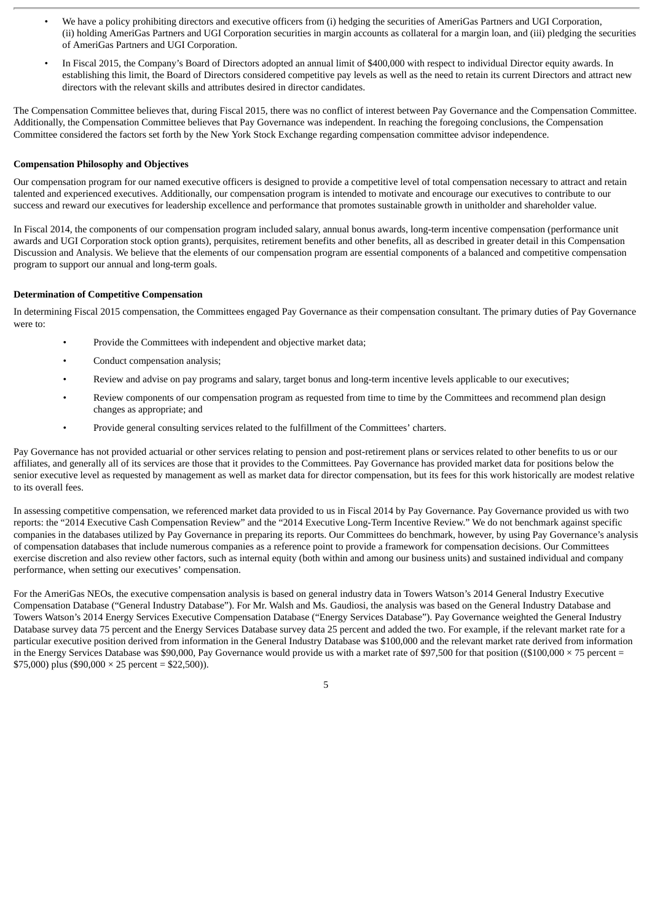- We have a policy prohibiting directors and executive officers from (i) hedging the securities of AmeriGas Partners and UGI Corporation, (ii) holding AmeriGas Partners and UGI Corporation securities in margin accounts as collateral for a margin loan, and (iii) pledging the securities of AmeriGas Partners and UGI Corporation.
- In Fiscal 2015, the Company's Board of Directors adopted an annual limit of \$400,000 with respect to individual Director equity awards. In establishing this limit, the Board of Directors considered competitive pay levels as well as the need to retain its current Directors and attract new directors with the relevant skills and attributes desired in director candidates.

The Compensation Committee believes that, during Fiscal 2015, there was no conflict of interest between Pay Governance and the Compensation Committee. Additionally, the Compensation Committee believes that Pay Governance was independent. In reaching the foregoing conclusions, the Compensation Committee considered the factors set forth by the New York Stock Exchange regarding compensation committee advisor independence.

#### **Compensation Philosophy and Objectives**

Our compensation program for our named executive officers is designed to provide a competitive level of total compensation necessary to attract and retain talented and experienced executives. Additionally, our compensation program is intended to motivate and encourage our executives to contribute to our success and reward our executives for leadership excellence and performance that promotes sustainable growth in unitholder and shareholder value.

In Fiscal 2014, the components of our compensation program included salary, annual bonus awards, long-term incentive compensation (performance unit awards and UGI Corporation stock option grants), perquisites, retirement benefits and other benefits, all as described in greater detail in this Compensation Discussion and Analysis. We believe that the elements of our compensation program are essential components of a balanced and competitive compensation program to support our annual and long-term goals.

#### **Determination of Competitive Compensation**

In determining Fiscal 2015 compensation, the Committees engaged Pay Governance as their compensation consultant. The primary duties of Pay Governance were to:

- Provide the Committees with independent and objective market data;
- Conduct compensation analysis;
- Review and advise on pay programs and salary, target bonus and long-term incentive levels applicable to our executives;
- Review components of our compensation program as requested from time to time by the Committees and recommend plan design changes as appropriate; and
- Provide general consulting services related to the fulfillment of the Committees' charters.

Pay Governance has not provided actuarial or other services relating to pension and post-retirement plans or services related to other benefits to us or our affiliates, and generally all of its services are those that it provides to the Committees. Pay Governance has provided market data for positions below the senior executive level as requested by management as well as market data for director compensation, but its fees for this work historically are modest relative to its overall fees.

In assessing competitive compensation, we referenced market data provided to us in Fiscal 2014 by Pay Governance. Pay Governance provided us with two reports: the "2014 Executive Cash Compensation Review" and the "2014 Executive Long-Term Incentive Review." We do not benchmark against specific companies in the databases utilized by Pay Governance in preparing its reports. Our Committees do benchmark, however, by using Pay Governance's analysis of compensation databases that include numerous companies as a reference point to provide a framework for compensation decisions. Our Committees exercise discretion and also review other factors, such as internal equity (both within and among our business units) and sustained individual and company performance, when setting our executives' compensation.

For the AmeriGas NEOs, the executive compensation analysis is based on general industry data in Towers Watson's 2014 General Industry Executive Compensation Database ("General Industry Database"). For Mr. Walsh and Ms. Gaudiosi, the analysis was based on the General Industry Database and Towers Watson's 2014 Energy Services Executive Compensation Database ("Energy Services Database"). Pay Governance weighted the General Industry Database survey data 75 percent and the Energy Services Database survey data 25 percent and added the two. For example, if the relevant market rate for a particular executive position derived from information in the General Industry Database was \$100,000 and the relevant market rate derived from information in the Energy Services Database was \$90,000, Pay Governance would provide us with a market rate of \$97,500 for that position ((\$100,000  $\times$  75 percent = \$75,000) plus (\$90,000  $\times$  25 percent = \$22,500)).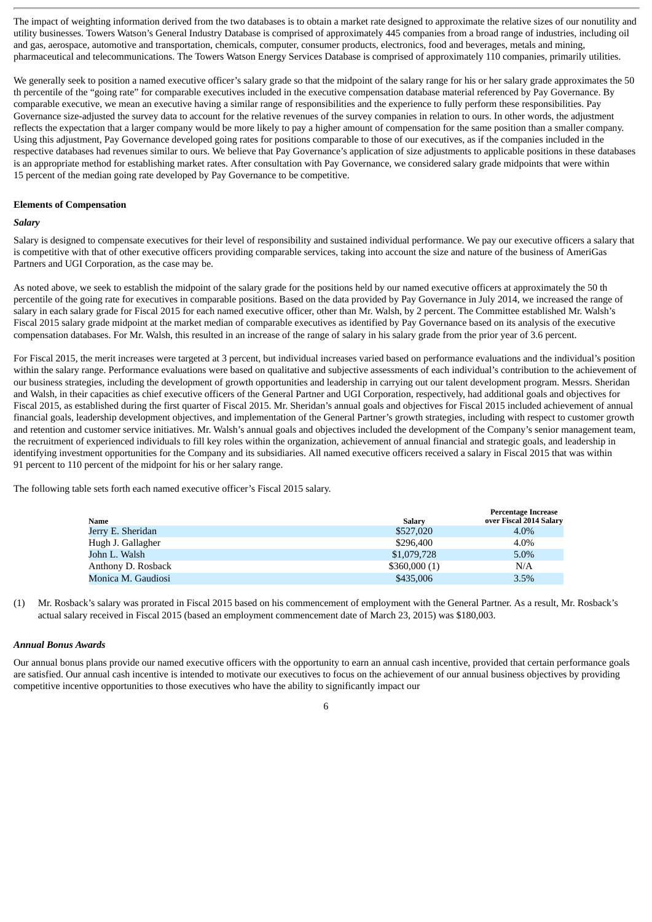The impact of weighting information derived from the two databases is to obtain a market rate designed to approximate the relative sizes of our nonutility and utility businesses. Towers Watson's General Industry Database is comprised of approximately 445 companies from a broad range of industries, including oil and gas, aerospace, automotive and transportation, chemicals, computer, consumer products, electronics, food and beverages, metals and mining, pharmaceutical and telecommunications. The Towers Watson Energy Services Database is comprised of approximately 110 companies, primarily utilities.

We generally seek to position a named executive officer's salary grade so that the midpoint of the salary range for his or her salary grade approximates the 50 th percentile of the "going rate" for comparable executives included in the executive compensation database material referenced by Pay Governance. By comparable executive, we mean an executive having a similar range of responsibilities and the experience to fully perform these responsibilities. Pay Governance size-adjusted the survey data to account for the relative revenues of the survey companies in relation to ours. In other words, the adjustment reflects the expectation that a larger company would be more likely to pay a higher amount of compensation for the same position than a smaller company. Using this adjustment, Pay Governance developed going rates for positions comparable to those of our executives, as if the companies included in the respective databases had revenues similar to ours. We believe that Pay Governance's application of size adjustments to applicable positions in these databases is an appropriate method for establishing market rates. After consultation with Pay Governance, we considered salary grade midpoints that were within 15 percent of the median going rate developed by Pay Governance to be competitive.

#### **Elements of Compensation**

#### *Salary*

Salary is designed to compensate executives for their level of responsibility and sustained individual performance. We pay our executive officers a salary that is competitive with that of other executive officers providing comparable services, taking into account the size and nature of the business of AmeriGas Partners and UGI Corporation, as the case may be.

As noted above, we seek to establish the midpoint of the salary grade for the positions held by our named executive officers at approximately the 50 th percentile of the going rate for executives in comparable positions. Based on the data provided by Pay Governance in July 2014, we increased the range of salary in each salary grade for Fiscal 2015 for each named executive officer, other than Mr. Walsh, by 2 percent. The Committee established Mr. Walsh's Fiscal 2015 salary grade midpoint at the market median of comparable executives as identified by Pay Governance based on its analysis of the executive compensation databases. For Mr. Walsh, this resulted in an increase of the range of salary in his salary grade from the prior year of 3.6 percent.

For Fiscal 2015, the merit increases were targeted at 3 percent, but individual increases varied based on performance evaluations and the individual's position within the salary range. Performance evaluations were based on qualitative and subjective assessments of each individual's contribution to the achievement of our business strategies, including the development of growth opportunities and leadership in carrying out our talent development program. Messrs. Sheridan and Walsh, in their capacities as chief executive officers of the General Partner and UGI Corporation, respectively, had additional goals and objectives for Fiscal 2015, as established during the first quarter of Fiscal 2015. Mr. Sheridan's annual goals and objectives for Fiscal 2015 included achievement of annual financial goals, leadership development objectives, and implementation of the General Partner's growth strategies, including with respect to customer growth and retention and customer service initiatives. Mr. Walsh's annual goals and objectives included the development of the Company's senior management team, the recruitment of experienced individuals to fill key roles within the organization, achievement of annual financial and strategic goals, and leadership in identifying investment opportunities for the Company and its subsidiaries. All named executive officers received a salary in Fiscal 2015 that was within 91 percent to 110 percent of the midpoint for his or her salary range.

The following table sets forth each named executive officer's Fiscal 2015 salary.

| Name               | Salary       | <b>Percentage Increase</b><br>over Fiscal 2014 Salary |
|--------------------|--------------|-------------------------------------------------------|
| Jerry E. Sheridan  | \$527,020    | 4.0%                                                  |
| Hugh J. Gallagher  | \$296,400    | 4.0%                                                  |
| John L. Walsh      | \$1,079,728  | $5.0\%$                                               |
| Anthony D. Rosback | \$360,000(1) | N/A                                                   |
| Monica M. Gaudiosi | \$435,006    | 3.5%                                                  |

(1) Mr. Rosback's salary was prorated in Fiscal 2015 based on his commencement of employment with the General Partner. As a result, Mr. Rosback's actual salary received in Fiscal 2015 (based an employment commencement date of March 23, 2015) was \$180,003.

#### *Annual Bonus Awards*

Our annual bonus plans provide our named executive officers with the opportunity to earn an annual cash incentive, provided that certain performance goals are satisfied. Our annual cash incentive is intended to motivate our executives to focus on the achievement of our annual business objectives by providing competitive incentive opportunities to those executives who have the ability to significantly impact our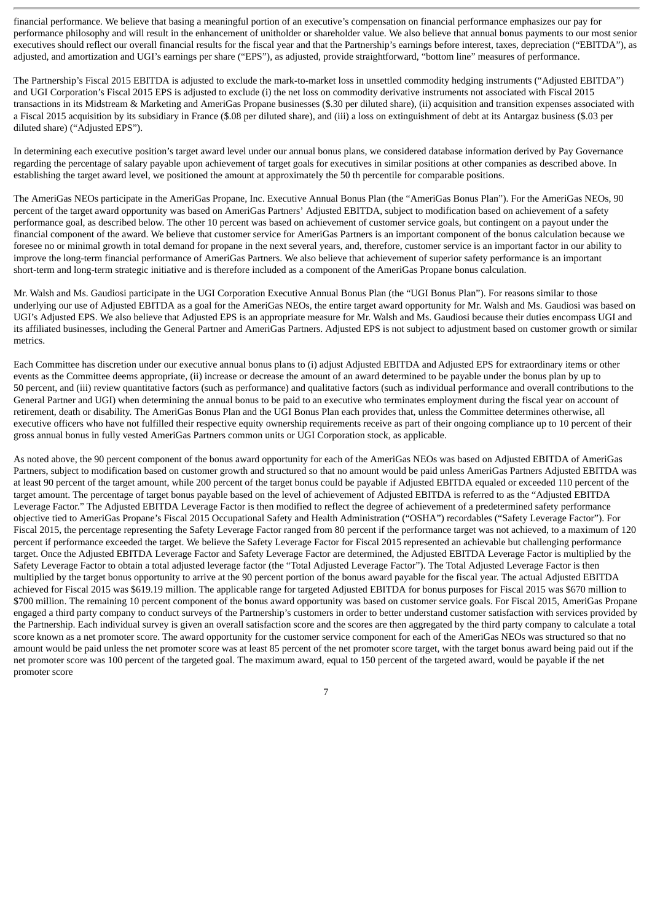financial performance. We believe that basing a meaningful portion of an executive's compensation on financial performance emphasizes our pay for performance philosophy and will result in the enhancement of unitholder or shareholder value. We also believe that annual bonus payments to our most senior executives should reflect our overall financial results for the fiscal year and that the Partnership's earnings before interest, taxes, depreciation ("EBITDA"), as adjusted, and amortization and UGI's earnings per share ("EPS"), as adjusted, provide straightforward, "bottom line" measures of performance.

The Partnership's Fiscal 2015 EBITDA is adjusted to exclude the mark-to-market loss in unsettled commodity hedging instruments ("Adjusted EBITDA") and UGI Corporation's Fiscal 2015 EPS is adjusted to exclude (i) the net loss on commodity derivative instruments not associated with Fiscal 2015 transactions in its Midstream & Marketing and AmeriGas Propane businesses (\$.30 per diluted share), (ii) acquisition and transition expenses associated with a Fiscal 2015 acquisition by its subsidiary in France (\$.08 per diluted share), and (iii) a loss on extinguishment of debt at its Antargaz business (\$.03 per diluted share) ("Adjusted EPS").

In determining each executive position's target award level under our annual bonus plans, we considered database information derived by Pay Governance regarding the percentage of salary payable upon achievement of target goals for executives in similar positions at other companies as described above. In establishing the target award level, we positioned the amount at approximately the 50 th percentile for comparable positions.

The AmeriGas NEOs participate in the AmeriGas Propane, Inc. Executive Annual Bonus Plan (the "AmeriGas Bonus Plan"). For the AmeriGas NEOs, 90 percent of the target award opportunity was based on AmeriGas Partners' Adjusted EBITDA, subject to modification based on achievement of a safety performance goal, as described below. The other 10 percent was based on achievement of customer service goals, but contingent on a payout under the financial component of the award. We believe that customer service for AmeriGas Partners is an important component of the bonus calculation because we foresee no or minimal growth in total demand for propane in the next several years, and, therefore, customer service is an important factor in our ability to improve the long-term financial performance of AmeriGas Partners. We also believe that achievement of superior safety performance is an important short-term and long-term strategic initiative and is therefore included as a component of the AmeriGas Propane bonus calculation.

Mr. Walsh and Ms. Gaudiosi participate in the UGI Corporation Executive Annual Bonus Plan (the "UGI Bonus Plan"). For reasons similar to those underlying our use of Adjusted EBITDA as a goal for the AmeriGas NEOs, the entire target award opportunity for Mr. Walsh and Ms. Gaudiosi was based on UGI's Adjusted EPS. We also believe that Adjusted EPS is an appropriate measure for Mr. Walsh and Ms. Gaudiosi because their duties encompass UGI and its affiliated businesses, including the General Partner and AmeriGas Partners. Adjusted EPS is not subject to adjustment based on customer growth or similar metrics.

Each Committee has discretion under our executive annual bonus plans to (i) adjust Adjusted EBITDA and Adjusted EPS for extraordinary items or other events as the Committee deems appropriate, (ii) increase or decrease the amount of an award determined to be payable under the bonus plan by up to 50 percent, and (iii) review quantitative factors (such as performance) and qualitative factors (such as individual performance and overall contributions to the General Partner and UGI) when determining the annual bonus to be paid to an executive who terminates employment during the fiscal year on account of retirement, death or disability. The AmeriGas Bonus Plan and the UGI Bonus Plan each provides that, unless the Committee determines otherwise, all executive officers who have not fulfilled their respective equity ownership requirements receive as part of their ongoing compliance up to 10 percent of their gross annual bonus in fully vested AmeriGas Partners common units or UGI Corporation stock, as applicable.

As noted above, the 90 percent component of the bonus award opportunity for each of the AmeriGas NEOs was based on Adjusted EBITDA of AmeriGas Partners, subject to modification based on customer growth and structured so that no amount would be paid unless AmeriGas Partners Adjusted EBITDA was at least 90 percent of the target amount, while 200 percent of the target bonus could be payable if Adjusted EBITDA equaled or exceeded 110 percent of the target amount. The percentage of target bonus payable based on the level of achievement of Adjusted EBITDA is referred to as the "Adjusted EBITDA Leverage Factor." The Adjusted EBITDA Leverage Factor is then modified to reflect the degree of achievement of a predetermined safety performance objective tied to AmeriGas Propane's Fiscal 2015 Occupational Safety and Health Administration ("OSHA") recordables ("Safety Leverage Factor"). For Fiscal 2015, the percentage representing the Safety Leverage Factor ranged from 80 percent if the performance target was not achieved, to a maximum of 120 percent if performance exceeded the target. We believe the Safety Leverage Factor for Fiscal 2015 represented an achievable but challenging performance target. Once the Adjusted EBITDA Leverage Factor and Safety Leverage Factor are determined, the Adjusted EBITDA Leverage Factor is multiplied by the Safety Leverage Factor to obtain a total adjusted leverage factor (the "Total Adjusted Leverage Factor"). The Total Adjusted Leverage Factor is then multiplied by the target bonus opportunity to arrive at the 90 percent portion of the bonus award payable for the fiscal year. The actual Adjusted EBITDA achieved for Fiscal 2015 was \$619.19 million. The applicable range for targeted Adjusted EBITDA for bonus purposes for Fiscal 2015 was \$670 million to \$700 million. The remaining 10 percent component of the bonus award opportunity was based on customer service goals. For Fiscal 2015, AmeriGas Propane engaged a third party company to conduct surveys of the Partnership's customers in order to better understand customer satisfaction with services provided by the Partnership. Each individual survey is given an overall satisfaction score and the scores are then aggregated by the third party company to calculate a total score known as a net promoter score. The award opportunity for the customer service component for each of the AmeriGas NEOs was structured so that no amount would be paid unless the net promoter score was at least 85 percent of the net promoter score target, with the target bonus award being paid out if the net promoter score was 100 percent of the targeted goal. The maximum award, equal to 150 percent of the targeted award, would be payable if the net promoter score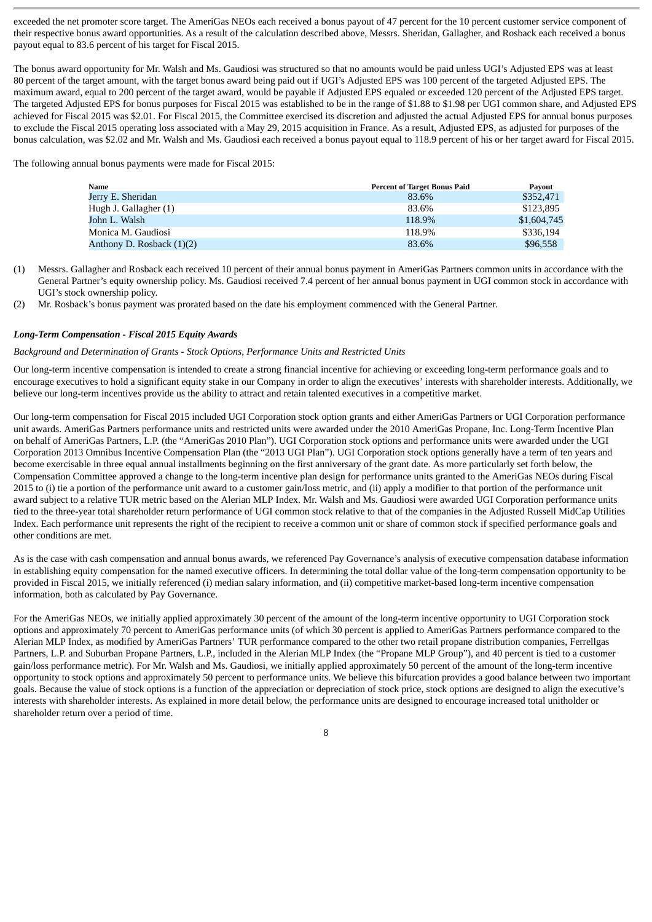exceeded the net promoter score target. The AmeriGas NEOs each received a bonus payout of 47 percent for the 10 percent customer service component of their respective bonus award opportunities. As a result of the calculation described above, Messrs. Sheridan, Gallagher, and Rosback each received a bonus payout equal to 83.6 percent of his target for Fiscal 2015.

The bonus award opportunity for Mr. Walsh and Ms. Gaudiosi was structured so that no amounts would be paid unless UGI's Adjusted EPS was at least 80 percent of the target amount, with the target bonus award being paid out if UGI's Adjusted EPS was 100 percent of the targeted Adjusted EPS. The maximum award, equal to 200 percent of the target award, would be payable if Adjusted EPS equaled or exceeded 120 percent of the Adjusted EPS target. The targeted Adjusted EPS for bonus purposes for Fiscal 2015 was established to be in the range of \$1.88 to \$1.98 per UGI common share, and Adjusted EPS achieved for Fiscal 2015 was \$2.01. For Fiscal 2015, the Committee exercised its discretion and adjusted the actual Adjusted EPS for annual bonus purposes to exclude the Fiscal 2015 operating loss associated with a May 29, 2015 acquisition in France. As a result, Adjusted EPS, as adjusted for purposes of the bonus calculation, was \$2.02 and Mr. Walsh and Ms. Gaudiosi each received a bonus payout equal to 118.9 percent of his or her target award for Fiscal 2015.

The following annual bonus payments were made for Fiscal 2015:

| Name                        | <b>Percent of Target Bonus Paid</b> | Payout      |
|-----------------------------|-------------------------------------|-------------|
| Jerry E. Sheridan           | 83.6%                               | \$352,471   |
| Hugh J. Gallagher (1)       | 83.6%                               | \$123,895   |
| John L. Walsh               | 118.9%                              | \$1,604,745 |
| Monica M. Gaudiosi          | 118.9%                              | \$336,194   |
| Anthony D. Rosback $(1)(2)$ | 83.6%                               | \$96,558    |

- (1) Messrs. Gallagher and Rosback each received 10 percent of their annual bonus payment in AmeriGas Partners common units in accordance with the General Partner's equity ownership policy. Ms. Gaudiosi received 7.4 percent of her annual bonus payment in UGI common stock in accordance with UGI's stock ownership policy.
- (2) Mr. Rosback's bonus payment was prorated based on the date his employment commenced with the General Partner.

#### *Long-Term Compensation - Fiscal 2015 Equity Awards*

#### *Background and Determination of Grants - Stock Options, Performance Units and Restricted Units*

Our long-term incentive compensation is intended to create a strong financial incentive for achieving or exceeding long-term performance goals and to encourage executives to hold a significant equity stake in our Company in order to align the executives' interests with shareholder interests. Additionally, we believe our long-term incentives provide us the ability to attract and retain talented executives in a competitive market.

Our long-term compensation for Fiscal 2015 included UGI Corporation stock option grants and either AmeriGas Partners or UGI Corporation performance unit awards. AmeriGas Partners performance units and restricted units were awarded under the 2010 AmeriGas Propane, Inc. Long-Term Incentive Plan on behalf of AmeriGas Partners, L.P. (the "AmeriGas 2010 Plan"). UGI Corporation stock options and performance units were awarded under the UGI Corporation 2013 Omnibus Incentive Compensation Plan (the "2013 UGI Plan"). UGI Corporation stock options generally have a term of ten years and become exercisable in three equal annual installments beginning on the first anniversary of the grant date. As more particularly set forth below, the Compensation Committee approved a change to the long-term incentive plan design for performance units granted to the AmeriGas NEOs during Fiscal 2015 to (i) tie a portion of the performance unit award to a customer gain/loss metric, and (ii) apply a modifier to that portion of the performance unit award subject to a relative TUR metric based on the Alerian MLP Index. Mr. Walsh and Ms. Gaudiosi were awarded UGI Corporation performance units tied to the three-year total shareholder return performance of UGI common stock relative to that of the companies in the Adjusted Russell MidCap Utilities Index. Each performance unit represents the right of the recipient to receive a common unit or share of common stock if specified performance goals and other conditions are met.

As is the case with cash compensation and annual bonus awards, we referenced Pay Governance's analysis of executive compensation database information in establishing equity compensation for the named executive officers. In determining the total dollar value of the long-term compensation opportunity to be provided in Fiscal 2015, we initially referenced (i) median salary information, and (ii) competitive market-based long-term incentive compensation information, both as calculated by Pay Governance.

For the AmeriGas NEOs, we initially applied approximately 30 percent of the amount of the long-term incentive opportunity to UGI Corporation stock options and approximately 70 percent to AmeriGas performance units (of which 30 percent is applied to AmeriGas Partners performance compared to the Alerian MLP Index, as modified by AmeriGas Partners' TUR performance compared to the other two retail propane distribution companies, Ferrellgas Partners, L.P. and Suburban Propane Partners, L.P., included in the Alerian MLP Index (the "Propane MLP Group"), and 40 percent is tied to a customer gain/loss performance metric). For Mr. Walsh and Ms. Gaudiosi, we initially applied approximately 50 percent of the amount of the long-term incentive opportunity to stock options and approximately 50 percent to performance units. We believe this bifurcation provides a good balance between two important goals. Because the value of stock options is a function of the appreciation or depreciation of stock price, stock options are designed to align the executive's interests with shareholder interests. As explained in more detail below, the performance units are designed to encourage increased total unitholder or shareholder return over a period of time.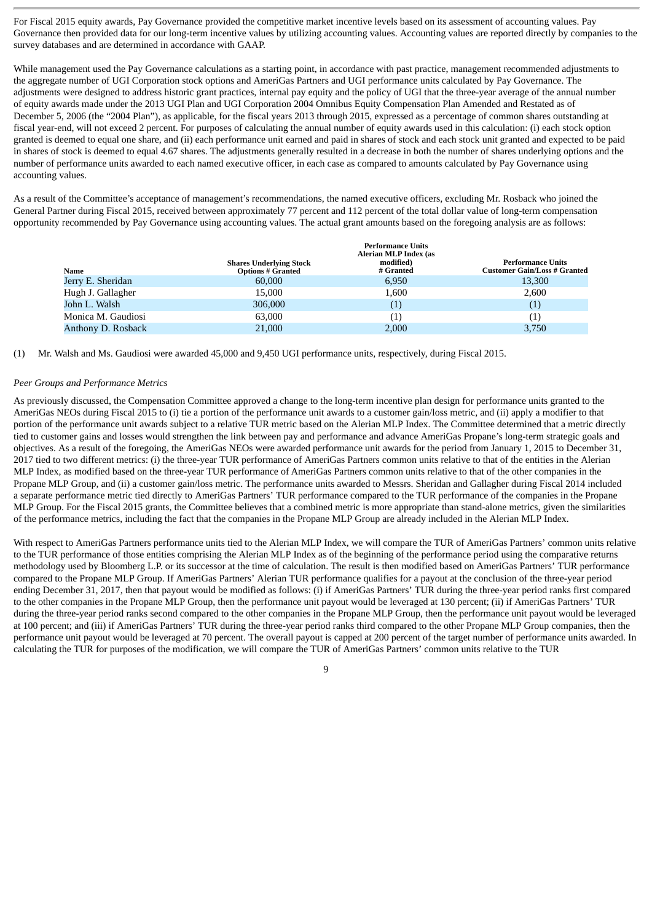For Fiscal 2015 equity awards, Pay Governance provided the competitive market incentive levels based on its assessment of accounting values. Pay Governance then provided data for our long-term incentive values by utilizing accounting values. Accounting values are reported directly by companies to the survey databases and are determined in accordance with GAAP.

While management used the Pay Governance calculations as a starting point, in accordance with past practice, management recommended adjustments to the aggregate number of UGI Corporation stock options and AmeriGas Partners and UGI performance units calculated by Pay Governance. The adjustments were designed to address historic grant practices, internal pay equity and the policy of UGI that the three-year average of the annual number of equity awards made under the 2013 UGI Plan and UGI Corporation 2004 Omnibus Equity Compensation Plan Amended and Restated as of December 5, 2006 (the "2004 Plan"), as applicable, for the fiscal years 2013 through 2015, expressed as a percentage of common shares outstanding at fiscal year-end, will not exceed 2 percent. For purposes of calculating the annual number of equity awards used in this calculation: (i) each stock option granted is deemed to equal one share, and (ii) each performance unit earned and paid in shares of stock and each stock unit granted and expected to be paid in shares of stock is deemed to equal 4.67 shares. The adjustments generally resulted in a decrease in both the number of shares underlying options and the number of performance units awarded to each named executive officer, in each case as compared to amounts calculated by Pay Governance using accounting values.

As a result of the Committee's acceptance of management's recommendations, the named executive officers, excluding Mr. Rosback who joined the General Partner during Fiscal 2015, received between approximately 77 percent and 112 percent of the total dollar value of long-term compensation opportunity recommended by Pay Governance using accounting values. The actual grant amounts based on the foregoing analysis are as follows:

|                    |                                                            | <b>Performance Units</b><br>Alerian MLP Index (as |                                                                 |
|--------------------|------------------------------------------------------------|---------------------------------------------------|-----------------------------------------------------------------|
| Name               | <b>Shares Underlying Stock</b><br><b>Options # Granted</b> | modified)<br># Granted                            | <b>Performance Units</b><br><b>Customer Gain/Loss # Granted</b> |
| Jerry E. Sheridan  | 60,000                                                     | 6,950                                             | 13,300                                                          |
| Hugh J. Gallagher  | 15,000                                                     | 1,600                                             | 2,600                                                           |
| John L. Walsh      | 306,000                                                    | $\left( 1\right)$                                 | $\left( 1\right)$                                               |
| Monica M. Gaudiosi | 63,000                                                     | $\left( 1\right)$                                 | $\left(1\right)$                                                |
| Anthony D. Rosback | 21,000                                                     | 2,000                                             | 3,750                                                           |

(1) Mr. Walsh and Ms. Gaudiosi were awarded 45,000 and 9,450 UGI performance units, respectively, during Fiscal 2015.

#### *Peer Groups and Performance Metrics*

As previously discussed, the Compensation Committee approved a change to the long-term incentive plan design for performance units granted to the AmeriGas NEOs during Fiscal 2015 to (i) tie a portion of the performance unit awards to a customer gain/loss metric, and (ii) apply a modifier to that portion of the performance unit awards subject to a relative TUR metric based on the Alerian MLP Index. The Committee determined that a metric directly tied to customer gains and losses would strengthen the link between pay and performance and advance AmeriGas Propane's long-term strategic goals and objectives. As a result of the foregoing, the AmeriGas NEOs were awarded performance unit awards for the period from January 1, 2015 to December 31, 2017 tied to two different metrics: (i) the three-year TUR performance of AmeriGas Partners common units relative to that of the entities in the Alerian MLP Index, as modified based on the three-year TUR performance of AmeriGas Partners common units relative to that of the other companies in the Propane MLP Group, and (ii) a customer gain/loss metric. The performance units awarded to Messrs. Sheridan and Gallagher during Fiscal 2014 included a separate performance metric tied directly to AmeriGas Partners' TUR performance compared to the TUR performance of the companies in the Propane MLP Group. For the Fiscal 2015 grants, the Committee believes that a combined metric is more appropriate than stand-alone metrics, given the similarities of the performance metrics, including the fact that the companies in the Propane MLP Group are already included in the Alerian MLP Index.

With respect to AmeriGas Partners performance units tied to the Alerian MLP Index, we will compare the TUR of AmeriGas Partners' common units relative to the TUR performance of those entities comprising the Alerian MLP Index as of the beginning of the performance period using the comparative returns methodology used by Bloomberg L.P. or its successor at the time of calculation. The result is then modified based on AmeriGas Partners' TUR performance compared to the Propane MLP Group. If AmeriGas Partners' Alerian TUR performance qualifies for a payout at the conclusion of the three-year period ending December 31, 2017, then that payout would be modified as follows: (i) if AmeriGas Partners' TUR during the three-year period ranks first compared to the other companies in the Propane MLP Group, then the performance unit payout would be leveraged at 130 percent; (ii) if AmeriGas Partners' TUR during the three-year period ranks second compared to the other companies in the Propane MLP Group, then the performance unit payout would be leveraged at 100 percent; and (iii) if AmeriGas Partners' TUR during the three-year period ranks third compared to the other Propane MLP Group companies, then the performance unit payout would be leveraged at 70 percent. The overall payout is capped at 200 percent of the target number of performance units awarded. In calculating the TUR for purposes of the modification, we will compare the TUR of AmeriGas Partners' common units relative to the TUR

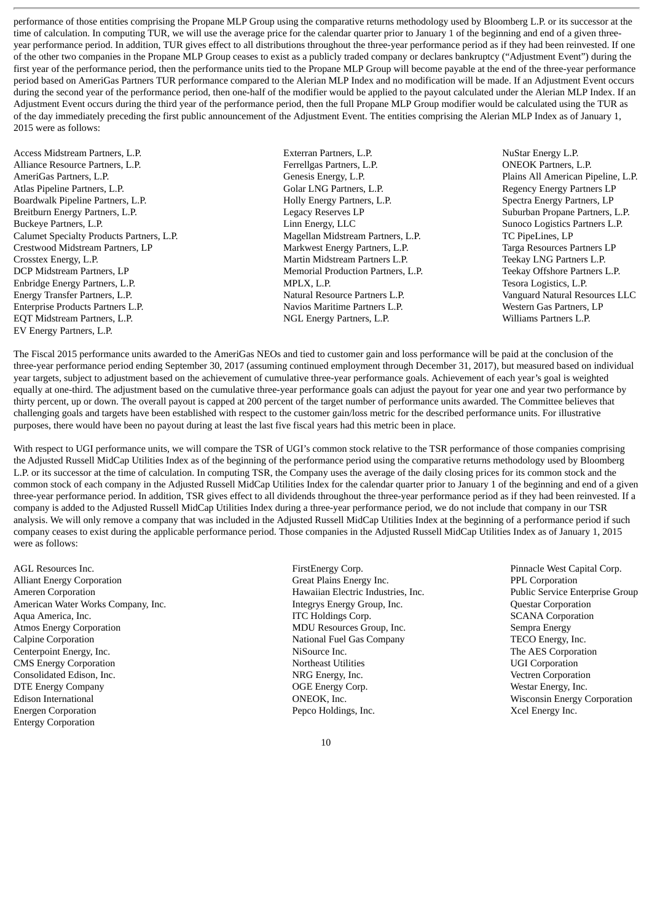performance of those entities comprising the Propane MLP Group using the comparative returns methodology used by Bloomberg L.P. or its successor at the time of calculation. In computing TUR, we will use the average price for the calendar quarter prior to January 1 of the beginning and end of a given threeyear performance period. In addition, TUR gives effect to all distributions throughout the three-year performance period as if they had been reinvested. If one of the other two companies in the Propane MLP Group ceases to exist as a publicly traded company or declares bankruptcy ("Adjustment Event") during the first year of the performance period, then the performance units tied to the Propane MLP Group will become payable at the end of the three-year performance period based on AmeriGas Partners TUR performance compared to the Alerian MLP Index and no modification will be made. If an Adjustment Event occurs during the second vear of the performance period, then one-half of the modifier would be applied to the payout calculated under the Alerian MLP Index. If an Adjustment Event occurs during the third year of the performance period, then the full Propane MLP Group modifier would be calculated using the TUR as of the day immediately preceding the first public announcement of the Adjustment Event. The entities comprising the Alerian MLP Index as of January 1, 2015 were as follows:

- Access Midstream Partners, L.P. Exterran Partners, L.P. NuStar Energy L.P. Alliance Resource Partners, L.P. The Communication of Ferrellgas Partners, L.P. The Communication of Communication of Ferrellgas Partners, L.P. The Communication of Partners, L.P. AmeriGas Partners, L.P.<br>
Atlas Pipeline Partners, L.P.<br>
Atlas Pipeline Partners, L.P.<br>
Plains All American Pipeline, L.P.<br>
Golar LNG Partners, L.P.<br>
Golar LNG Partners, L.P.<br>
Regency Energy Partners LP Atlas Pipeline Partners, L.P. Golar LNG Partners, L.P. Regency Energy Partners LP Boardwalk Pipeline Partners, L.P. The Partners, L.P. The Holly Energy Partners, L.P. Spectra Energy Partners, L.P Breitburn Energy Partners, L.P. **L.C. Legacy Reserves LP** Suburban Propane Partners, L.P. Buckeye Partners, L.P. **L.P.** Linn Energy, LLC Sunoco Logistics Partners L.P. Calumet Specialty Products Partners, L.P. Magellan Midstream Partners, L.P. TC PipeLines, LP Crestwood Midstream Partners, LP<br>Crosstex Energy, L.P. Crosstex Energy, L.P. Targa Resources Partners L.P. Targa Resources Partners L.P. DCP Midstream Partners, LP Memorial Production Partners, L.P. Teekay Offshore Partners L.P. Enbridge Energy Partners, L.P. MPLX, L.P. Tesora Logistics, L.P. Energy Transfer Partners, L.P. Natural Resource Partners L.P. Vanguard Natural Resources LLC Enterprise Products Partners L.P. Navios Maritime Partners L.P. Western Gas Partners, LP EQT Midstream Partners, L.P. NGL Energy Partners, L.P. Williams Partners L.P. EV Energy Partners, L.P.
	- Martin Midstream Partners L.P.
- 

The Fiscal 2015 performance units awarded to the AmeriGas NEOs and tied to customer gain and loss performance will be paid at the conclusion of the three-year performance period ending September 30, 2017 (assuming continued employment through December 31, 2017), but measured based on individual year targets, subject to adjustment based on the achievement of cumulative three-year performance goals. Achievement of each year's goal is weighted equally at one-third. The adjustment based on the cumulative three-year performance goals can adjust the payout for year one and year two performance by thirty percent, up or down. The overall payout is capped at 200 percent of the target number of performance units awarded. The Committee believes that challenging goals and targets have been established with respect to the customer gain/loss metric for the described performance units. For illustrative purposes, there would have been no payout during at least the last five fiscal years had this metric been in place.

With respect to UGI performance units, we will compare the TSR of UGI's common stock relative to the TSR performance of those companies comprising the Adjusted Russell MidCap Utilities Index as of the beginning of the performance period using the comparative returns methodology used by Bloomberg L.P. or its successor at the time of calculation. In computing TSR, the Company uses the average of the daily closing prices for its common stock and the common stock of each company in the Adjusted Russell MidCap Utilities Index for the calendar quarter prior to January 1 of the beginning and end of a given three-year performance period. In addition, TSR gives effect to all dividends throughout the three-year performance period as if they had been reinvested. If a company is added to the Adjusted Russell MidCap Utilities Index during a three-year performance period, we do not include that company in our TSR analysis. We will only remove a company that was included in the Adjusted Russell MidCap Utilities Index at the beginning of a performance period if such company ceases to exist during the applicable performance period. Those companies in the Adjusted Russell MidCap Utilities Index as of January 1, 2015 were as follows:

AGL Resources Inc. **FirstEnergy Corp.** FirstEnergy Corp. **Pinnacle West Capital Corp.** Pinnacle West Capital Corp. Alliant Energy Corporation Great Plains Energy Inc. PPL Corporation Ameren Corporation Hawaiian Electric Industries, Inc. Public Service Enterprise Group American Water Works Company, Inc. **Integrys Energy Group, Inc. Questar Corporation** Aqua America, Inc. **ITC Holdings Corp.** ITC Holdings Corp. **SCANA Corporation** Atmos Energy Corporation **MDU Resources Group, Inc.** Sempra Energy Calpine Corporation National Fuel Gas Company TECO Energy, Inc. Centerpoint Energy, Inc. The AES Corporation NiSource Inc. The AES Corporation CMS Energy Corporation and the corporation of the Northeast Utilities and the UGI Corporation CMS Energy Corporation Consolidated Edison, Inc. NRG Energy, Inc. Vectren Corporation DTE Energy Company OGE Energy Corp. Westar Energy, Inc. Edison International **CONEOCK, Inc. CONEOCK, Inc.** Wisconsin Energy Corporation Energen Corporation Pepco Holdings, Inc. Xcel Energy Inc. Entergy Corporation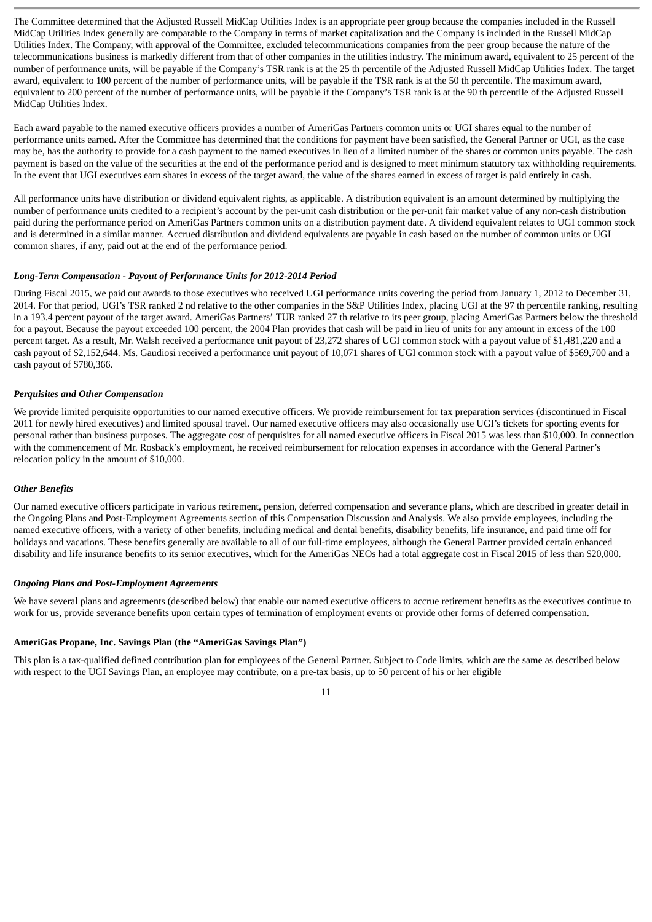The Committee determined that the Adjusted Russell MidCap Utilities Index is an appropriate peer group because the companies included in the Russell MidCap Utilities Index generally are comparable to the Company in terms of market capitalization and the Company is included in the Russell MidCap Utilities Index. The Company, with approval of the Committee, excluded telecommunications companies from the peer group because the nature of the telecommunications business is markedly different from that of other companies in the utilities industry. The minimum award, equivalent to 25 percent of the number of performance units, will be payable if the Company's TSR rank is at the 25 th percentile of the Adjusted Russell MidCap Utilities Index. The target award, equivalent to 100 percent of the number of performance units, will be payable if the TSR rank is at the 50 th percentile. The maximum award, equivalent to 200 percent of the number of performance units, will be payable if the Company's TSR rank is at the 90 th percentile of the Adjusted Russell MidCap Utilities Index.

Each award payable to the named executive officers provides a number of AmeriGas Partners common units or UGI shares equal to the number of performance units earned. After the Committee has determined that the conditions for payment have been satisfied, the General Partner or UGI, as the case may be, has the authority to provide for a cash payment to the named executives in lieu of a limited number of the shares or common units payable. The cash payment is based on the value of the securities at the end of the performance period and is designed to meet minimum statutory tax withholding requirements. In the event that UGI executives earn shares in excess of the target award, the value of the shares earned in excess of target is paid entirely in cash.

All performance units have distribution or dividend equivalent rights, as applicable. A distribution equivalent is an amount determined by multiplying the number of performance units credited to a recipient's account by the per-unit cash distribution or the per-unit fair market value of any non-cash distribution paid during the performance period on AmeriGas Partners common units on a distribution payment date. A dividend equivalent relates to UGI common stock and is determined in a similar manner. Accrued distribution and dividend equivalents are payable in cash based on the number of common units or UGI common shares, if any, paid out at the end of the performance period.

#### *Long-Term Compensation - Payout of Performance Units for 2012-2014 Period*

During Fiscal 2015, we paid out awards to those executives who received UGI performance units covering the period from January 1, 2012 to December 31, 2014. For that period, UGI's TSR ranked 2 nd relative to the other companies in the S&P Utilities Index, placing UGI at the 97 th percentile ranking, resulting in a 193.4 percent payout of the target award. AmeriGas Partners' TUR ranked 27 th relative to its peer group, placing AmeriGas Partners below the threshold for a payout. Because the payout exceeded 100 percent, the 2004 Plan provides that cash will be paid in lieu of units for any amount in excess of the 100 percent target. As a result, Mr. Walsh received a performance unit payout of 23,272 shares of UGI common stock with a payout value of \$1,481,220 and a cash payout of \$2,152,644. Ms. Gaudiosi received a performance unit payout of 10,071 shares of UGI common stock with a payout value of \$569,700 and a cash payout of \$780,366.

#### *Perquisites and Other Compensation*

We provide limited perquisite opportunities to our named executive officers. We provide reimbursement for tax preparation services (discontinued in Fiscal 2011 for newly hired executives) and limited spousal travel. Our named executive officers may also occasionally use UGI's tickets for sporting events for personal rather than business purposes. The aggregate cost of perquisites for all named executive officers in Fiscal 2015 was less than \$10,000. In connection with the commencement of Mr. Rosback's employment, he received reimbursement for relocation expenses in accordance with the General Partner's relocation policy in the amount of \$10,000.

#### *Other Benefits*

Our named executive officers participate in various retirement, pension, deferred compensation and severance plans, which are described in greater detail in the Ongoing Plans and Post-Employment Agreements section of this Compensation Discussion and Analysis. We also provide employees, including the named executive officers, with a variety of other benefits, including medical and dental benefits, disability benefits, life insurance, and paid time off for holidays and vacations. These benefits generally are available to all of our full-time employees, although the General Partner provided certain enhanced disability and life insurance benefits to its senior executives, which for the AmeriGas NEOs had a total aggregate cost in Fiscal 2015 of less than \$20,000.

#### *Ongoing Plans and Post-Employment Agreements*

We have several plans and agreements (described below) that enable our named executive officers to accrue retirement benefits as the executives continue to work for us, provide severance benefits upon certain types of termination of employment events or provide other forms of deferred compensation.

#### **AmeriGas Propane, Inc. Savings Plan (the "AmeriGas Savings Plan")**

This plan is a tax-qualified defined contribution plan for employees of the General Partner. Subject to Code limits, which are the same as described below with respect to the UGI Savings Plan, an employee may contribute, on a pre-tax basis, up to 50 percent of his or her eligible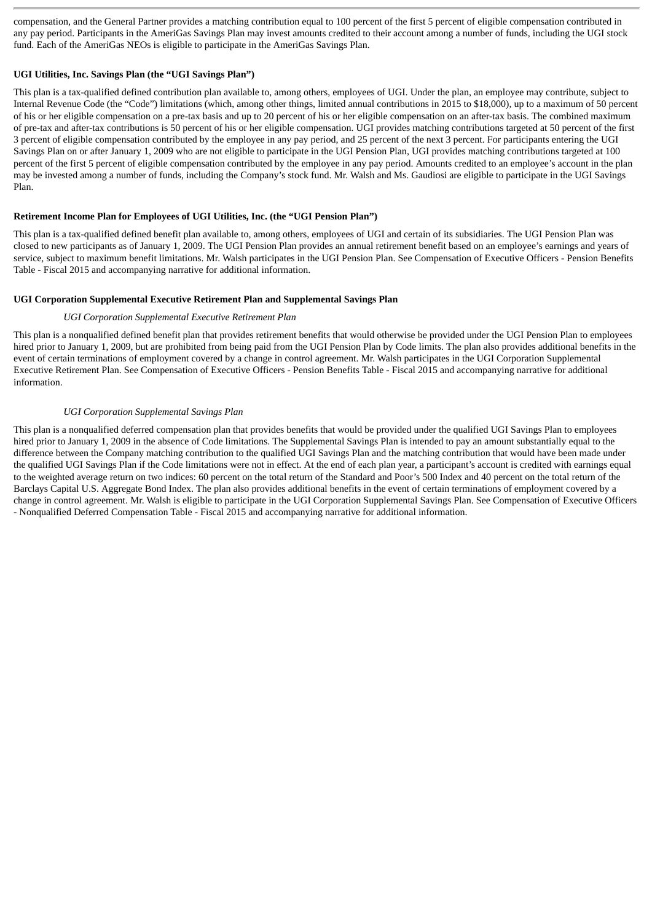compensation, and the General Partner provides a matching contribution equal to 100 percent of the first 5 percent of eligible compensation contributed in any pay period. Participants in the AmeriGas Savings Plan may invest amounts credited to their account among a number of funds, including the UGI stock fund. Each of the AmeriGas NEOs is eligible to participate in the AmeriGas Savings Plan.

# **UGI Utilities, Inc. Savings Plan (the "UGI Savings Plan")**

This plan is a tax-qualified defined contribution plan available to, among others, employees of UGI. Under the plan, an employee may contribute, subject to Internal Revenue Code (the "Code") limitations (which, among other things, limited annual contributions in 2015 to \$18,000), up to a maximum of 50 percent of his or her eligible compensation on a pre-tax basis and up to 20 percent of his or her eligible compensation on an after-tax basis. The combined maximum of pre-tax and after-tax contributions is 50 percent of his or her eligible compensation. UGI provides matching contributions targeted at 50 percent of the first 3 percent of eligible compensation contributed by the employee in any pay period, and 25 percent of the next 3 percent. For participants entering the UGI Savings Plan on or after January 1, 2009 who are not eligible to participate in the UGI Pension Plan, UGI provides matching contributions targeted at 100 percent of the first 5 percent of eligible compensation contributed by the employee in any pay period. Amounts credited to an employee's account in the plan may be invested among a number of funds, including the Company's stock fund. Mr. Walsh and Ms. Gaudiosi are eligible to participate in the UGI Savings Plan.

# **Retirement Income Plan for Employees of UGI Utilities, Inc. (the "UGI Pension Plan")**

This plan is a tax-qualified defined benefit plan available to, among others, employees of UGI and certain of its subsidiaries. The UGI Pension Plan was closed to new participants as of January 1, 2009. The UGI Pension Plan provides an annual retirement benefit based on an employee's earnings and years of service, subject to maximum benefit limitations. Mr. Walsh participates in the UGI Pension Plan. See Compensation of Executive Officers - Pension Benefits Table - Fiscal 2015 and accompanying narrative for additional information.

# **UGI Corporation Supplemental Executive Retirement Plan and Supplemental Savings Plan**

# *UGI Corporation Supplemental Executive Retirement Plan*

This plan is a nonqualified defined benefit plan that provides retirement benefits that would otherwise be provided under the UGI Pension Plan to employees hired prior to January 1, 2009, but are prohibited from being paid from the UGI Pension Plan by Code limits. The plan also provides additional benefits in the event of certain terminations of employment covered by a change in control agreement. Mr. Walsh participates in the UGI Corporation Supplemental Executive Retirement Plan. See Compensation of Executive Officers - Pension Benefits Table - Fiscal 2015 and accompanying narrative for additional information.

# *UGI Corporation Supplemental Savings Plan*

This plan is a nonqualified deferred compensation plan that provides benefits that would be provided under the qualified UGI Savings Plan to employees hired prior to January 1, 2009 in the absence of Code limitations. The Supplemental Savings Plan is intended to pay an amount substantially equal to the difference between the Company matching contribution to the qualified UGI Savings Plan and the matching contribution that would have been made under the qualified UGI Savings Plan if the Code limitations were not in effect. At the end of each plan year, a participant's account is credited with earnings equal to the weighted average return on two indices: 60 percent on the total return of the Standard and Poor's 500 Index and 40 percent on the total return of the Barclays Capital U.S. Aggregate Bond Index. The plan also provides additional benefits in the event of certain terminations of employment covered by a change in control agreement. Mr. Walsh is eligible to participate in the UGI Corporation Supplemental Savings Plan. See Compensation of Executive Officers - Nonqualified Deferred Compensation Table - Fiscal 2015 and accompanying narrative for additional information.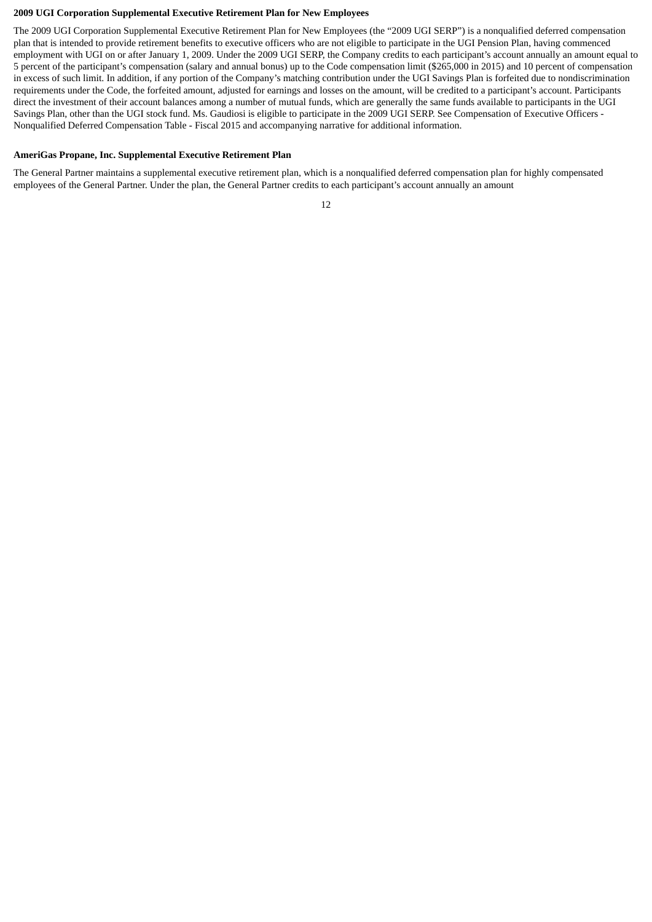#### **2009 UGI Corporation Supplemental Executive Retirement Plan for New Employees**

The 2009 UGI Corporation Supplemental Executive Retirement Plan for New Employees (the "2009 UGI SERP") is a nonqualified deferred compensation plan that is intended to provide retirement benefits to executive officers who are not eligible to participate in the UGI Pension Plan, having commenced employment with UGI on or after January 1, 2009. Under the 2009 UGI SERP, the Company credits to each participant's account annually an amount equal to 5 percent of the participant's compensation (salary and annual bonus) up to the Code compensation limit (\$265,000 in 2015) and 10 percent of compensation in excess of such limit. In addition, if any portion of the Company's matching contribution under the UGI Savings Plan is forfeited due to nondiscrimination requirements under the Code, the forfeited amount, adjusted for earnings and losses on the amount, will be credited to a participant's account. Participants direct the investment of their account balances among a number of mutual funds, which are generally the same funds available to participants in the UGI Savings Plan, other than the UGI stock fund. Ms. Gaudiosi is eligible to participate in the 2009 UGI SERP. See Compensation of Executive Officers - Nonqualified Deferred Compensation Table - Fiscal 2015 and accompanying narrative for additional information.

#### **AmeriGas Propane, Inc. Supplemental Executive Retirement Plan**

The General Partner maintains a supplemental executive retirement plan, which is a nonqualified deferred compensation plan for highly compensated employees of the General Partner. Under the plan, the General Partner credits to each participant's account annually an amount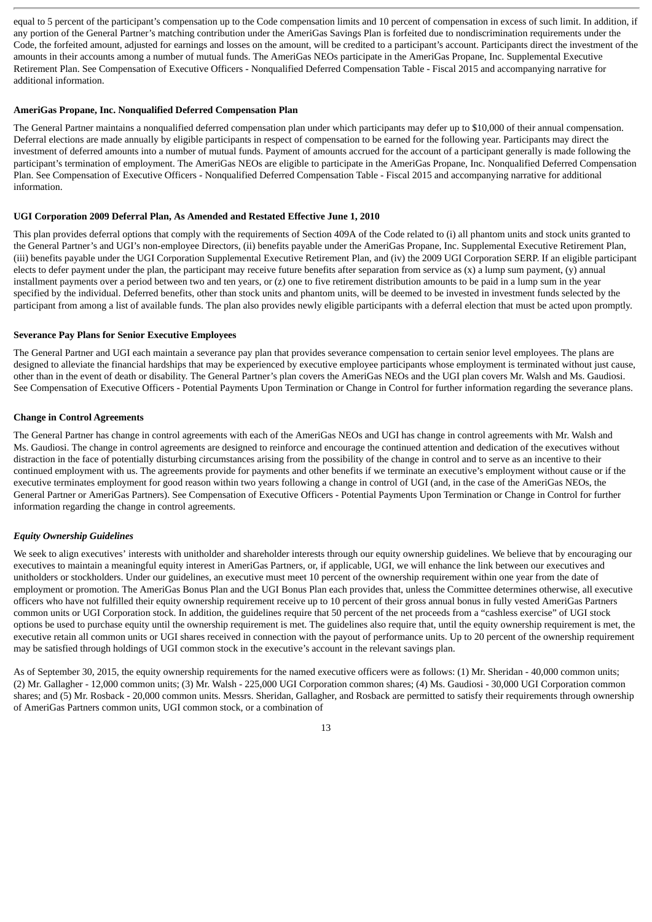equal to 5 percent of the participant's compensation up to the Code compensation limits and 10 percent of compensation in excess of such limit. In addition, if any portion of the General Partner's matching contribution under the AmeriGas Savings Plan is forfeited due to nondiscrimination requirements under the Code, the forfeited amount, adjusted for earnings and losses on the amount, will be credited to a participant's account. Participants direct the investment of the amounts in their accounts among a number of mutual funds. The AmeriGas NEOs participate in the AmeriGas Propane, Inc. Supplemental Executive Retirement Plan. See Compensation of Executive Officers - Nonqualified Deferred Compensation Table - Fiscal 2015 and accompanying narrative for additional information.

#### **AmeriGas Propane, Inc. Nonqualified Deferred Compensation Plan**

The General Partner maintains a nonqualified deferred compensation plan under which participants may defer up to \$10,000 of their annual compensation. Deferral elections are made annually by eligible participants in respect of compensation to be earned for the following year. Participants may direct the investment of deferred amounts into a number of mutual funds. Payment of amounts accrued for the account of a participant generally is made following the participant's termination of employment. The AmeriGas NEOs are eligible to participate in the AmeriGas Propane, Inc. Nonqualified Deferred Compensation Plan. See Compensation of Executive Officers - Nonqualified Deferred Compensation Table - Fiscal 2015 and accompanying narrative for additional information.

#### **UGI Corporation 2009 Deferral Plan, As Amended and Restated Effective June 1, 2010**

This plan provides deferral options that comply with the requirements of Section 409A of the Code related to (i) all phantom units and stock units granted to the General Partner's and UGI's non-employee Directors, (ii) benefits payable under the AmeriGas Propane, Inc. Supplemental Executive Retirement Plan, (iii) benefits payable under the UGI Corporation Supplemental Executive Retirement Plan, and (iv) the 2009 UGI Corporation SERP. If an eligible participant elects to defer payment under the plan, the participant may receive future benefits after separation from service as (x) a lump sum payment, (y) annual installment payments over a period between two and ten years, or (z) one to five retirement distribution amounts to be paid in a lump sum in the year specified by the individual. Deferred benefits, other than stock units and phantom units, will be deemed to be invested in investment funds selected by the participant from among a list of available funds. The plan also provides newly eligible participants with a deferral election that must be acted upon promptly.

#### **Severance Pay Plans for Senior Executive Employees**

The General Partner and UGI each maintain a severance pay plan that provides severance compensation to certain senior level employees. The plans are designed to alleviate the financial hardships that may be experienced by executive employee participants whose employment is terminated without just cause, other than in the event of death or disability. The General Partner's plan covers the AmeriGas NEOs and the UGI plan covers Mr. Walsh and Ms. Gaudiosi. See Compensation of Executive Officers - Potential Payments Upon Termination or Change in Control for further information regarding the severance plans.

#### **Change in Control Agreements**

The General Partner has change in control agreements with each of the AmeriGas NEOs and UGI has change in control agreements with Mr. Walsh and Ms. Gaudiosi. The change in control agreements are designed to reinforce and encourage the continued attention and dedication of the executives without distraction in the face of potentially disturbing circumstances arising from the possibility of the change in control and to serve as an incentive to their continued employment with us. The agreements provide for payments and other benefits if we terminate an executive's employment without cause or if the executive terminates employment for good reason within two years following a change in control of UGI (and, in the case of the AmeriGas NEOs, the General Partner or AmeriGas Partners). See Compensation of Executive Officers - Potential Payments Upon Termination or Change in Control for further information regarding the change in control agreements.

# *Equity Ownership Guidelines*

We seek to align executives' interests with unitholder and shareholder interests through our equity ownership guidelines. We believe that by encouraging our executives to maintain a meaningful equity interest in AmeriGas Partners, or, if applicable, UGI, we will enhance the link between our executives and unitholders or stockholders. Under our guidelines, an executive must meet 10 percent of the ownership requirement within one year from the date of employment or promotion. The AmeriGas Bonus Plan and the UGI Bonus Plan each provides that, unless the Committee determines otherwise, all executive officers who have not fulfilled their equity ownership requirement receive up to 10 percent of their gross annual bonus in fully vested AmeriGas Partners common units or UGI Corporation stock. In addition, the guidelines require that 50 percent of the net proceeds from a "cashless exercise" of UGI stock options be used to purchase equity until the ownership requirement is met. The guidelines also require that, until the equity ownership requirement is met, the executive retain all common units or UGI shares received in connection with the payout of performance units. Up to 20 percent of the ownership requirement may be satisfied through holdings of UGI common stock in the executive's account in the relevant savings plan.

As of September 30, 2015, the equity ownership requirements for the named executive officers were as follows: (1) Mr. Sheridan - 40,000 common units; (2) Mr. Gallagher - 12,000 common units; (3) Mr. Walsh - 225,000 UGI Corporation common shares; (4) Ms. Gaudiosi - 30,000 UGI Corporation common shares; and (5) Mr. Rosback - 20,000 common units. Messrs. Sheridan, Gallagher, and Rosback are permitted to satisfy their requirements through ownership of AmeriGas Partners common units, UGI common stock, or a combination of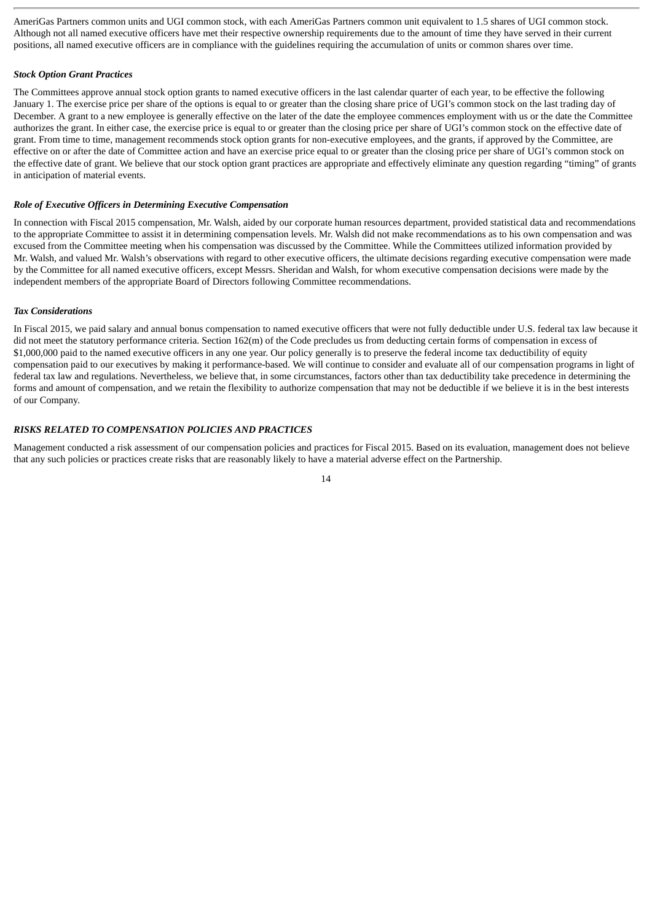AmeriGas Partners common units and UGI common stock, with each AmeriGas Partners common unit equivalent to 1.5 shares of UGI common stock. Although not all named executive officers have met their respective ownership requirements due to the amount of time they have served in their current positions, all named executive officers are in compliance with the guidelines requiring the accumulation of units or common shares over time.

# *Stock Option Grant Practices*

The Committees approve annual stock option grants to named executive officers in the last calendar quarter of each year, to be effective the following January 1. The exercise price per share of the options is equal to or greater than the closing share price of UGI's common stock on the last trading day of December. A grant to a new employee is generally effective on the later of the date the employee commences employment with us or the date the Committee authorizes the grant. In either case, the exercise price is equal to or greater than the closing price per share of UGI's common stock on the effective date of grant. From time to time, management recommends stock option grants for non-executive employees, and the grants, if approved by the Committee, are effective on or after the date of Committee action and have an exercise price equal to or greater than the closing price per share of UGI's common stock on the effective date of grant. We believe that our stock option grant practices are appropriate and effectively eliminate any question regarding "timing" of grants in anticipation of material events.

### *Role of Executive Officers in Determining Executive Compensation*

In connection with Fiscal 2015 compensation, Mr. Walsh, aided by our corporate human resources department, provided statistical data and recommendations to the appropriate Committee to assist it in determining compensation levels. Mr. Walsh did not make recommendations as to his own compensation and was excused from the Committee meeting when his compensation was discussed by the Committee. While the Committees utilized information provided by Mr. Walsh, and valued Mr. Walsh's observations with regard to other executive officers, the ultimate decisions regarding executive compensation were made by the Committee for all named executive officers, except Messrs. Sheridan and Walsh, for whom executive compensation decisions were made by the independent members of the appropriate Board of Directors following Committee recommendations.

#### *Tax Considerations*

In Fiscal 2015, we paid salary and annual bonus compensation to named executive officers that were not fully deductible under U.S. federal tax law because it did not meet the statutory performance criteria. Section 162(m) of the Code precludes us from deducting certain forms of compensation in excess of \$1,000,000 paid to the named executive officers in any one year. Our policy generally is to preserve the federal income tax deductibility of equity compensation paid to our executives by making it performance-based. We will continue to consider and evaluate all of our compensation programs in light of federal tax law and regulations. Nevertheless, we believe that, in some circumstances, factors other than tax deductibility take precedence in determining the forms and amount of compensation, and we retain the flexibility to authorize compensation that may not be deductible if we believe it is in the best interests of our Company.

### *RISKS RELATED TO COMPENSATION POLICIES AND PRACTICES*

Management conducted a risk assessment of our compensation policies and practices for Fiscal 2015. Based on its evaluation, management does not believe that any such policies or practices create risks that are reasonably likely to have a material adverse effect on the Partnership.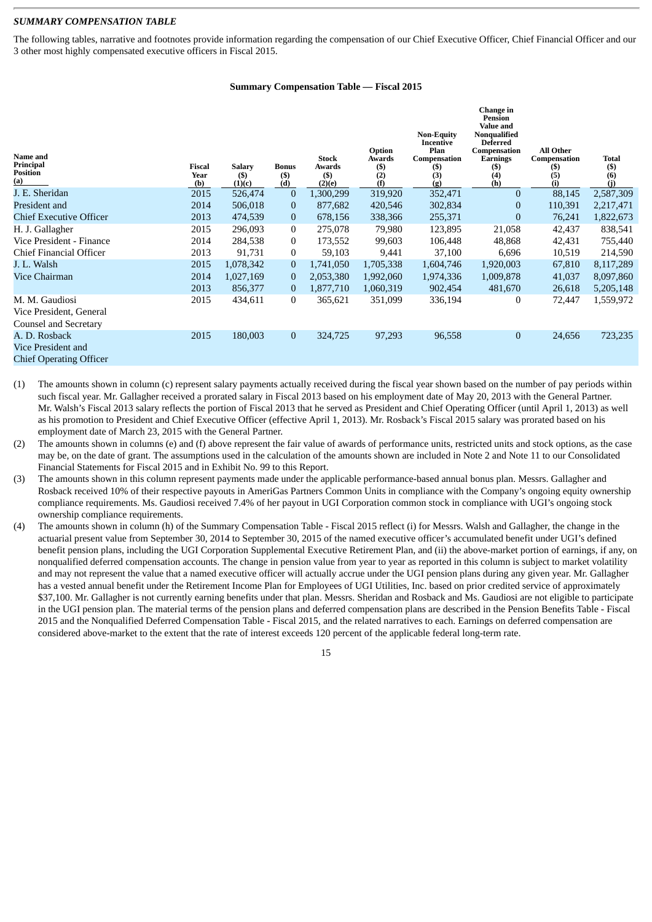# *SUMMARY COMPENSATION TABLE*

The following tables, narrative and footnotes provide information regarding the compensation of our Chief Executive Officer, Chief Financial Officer and our 3 other most highly compensated executive officers in Fiscal 2015.

#### **Summary Compensation Table — Fiscal 2015**

| <b>Name</b> and<br>Principal<br><b>Position</b><br>(a)                | <b>Fiscal</b><br>Year<br>(b) | <b>Salary</b><br>$($)$<br>(1)(c) | <b>Bonus</b><br>$($ \$)<br>(d) | <b>Stock</b><br>Awards<br>$($)$<br>(2)(e) | Option<br>Awards<br>(\$)<br>(2)<br>(f) | <b>Non-Equity</b><br>Incentive<br>Plan<br>Compensation<br>(S)<br>(3)<br>(g) | Change in<br><b>Pension</b><br><b>Value and</b><br>Nonqualified<br><b>Deferred</b><br>Compensation<br>Earnings<br>(S)<br>(4)<br>(h) | <b>All Other</b><br>Compensation<br>(S)<br>(5) | <b>Total</b><br>$(6)$<br>$(6)$ |
|-----------------------------------------------------------------------|------------------------------|----------------------------------|--------------------------------|-------------------------------------------|----------------------------------------|-----------------------------------------------------------------------------|-------------------------------------------------------------------------------------------------------------------------------------|------------------------------------------------|--------------------------------|
| J. E. Sheridan                                                        | 2015                         | 526,474                          | $\theta$                       | 1,300,299                                 | 319,920                                | 352,471                                                                     | $\mathbf{0}$                                                                                                                        | 88,145                                         | 2,587,309                      |
| President and                                                         | 2014                         | 506,018                          | $\bf{0}$                       | 877,682                                   | 420,546                                | 302,834                                                                     | $\mathbf{0}$                                                                                                                        | 110,391                                        | 2,217,471                      |
| <b>Chief Executive Officer</b>                                        | 2013                         | 474,539                          | $\mathbf{0}$                   | 678,156                                   | 338,366                                | 255,371                                                                     | $\mathbf{0}$                                                                                                                        | 76,241                                         | 1,822,673                      |
| H. J. Gallagher                                                       | 2015                         | 296,093                          | $\overline{0}$                 | 275,078                                   | 79,980                                 | 123,895                                                                     | 21,058                                                                                                                              | 42,437                                         | 838,541                        |
| Vice President - Finance                                              | 2014                         | 284,538                          | $\mathbf{0}$                   | 173,552                                   | 99,603                                 | 106,448                                                                     | 48,868                                                                                                                              | 42,431                                         | 755,440                        |
| Chief Financial Officer                                               | 2013                         | 91,731                           | $\mathbf{0}$                   | 59,103                                    | 9,441                                  | 37,100                                                                      | 6,696                                                                                                                               | 10,519                                         | 214,590                        |
| J. L. Walsh                                                           | 2015                         | 1,078,342                        | $\mathbf{0}$                   | 1,741,050                                 | 1,705,338                              | 1,604,746                                                                   | 1,920,003                                                                                                                           | 67,810                                         | 8,117,289                      |
| Vice Chairman                                                         | 2014                         | 1,027,169                        | $\overline{0}$                 | 2,053,380                                 | 1,992,060                              | 1,974,336                                                                   | 1,009,878                                                                                                                           | 41,037                                         | 8,097,860                      |
|                                                                       | 2013                         | 856,377                          | $\theta$                       | 1,877,710                                 | 1,060,319                              | 902,454                                                                     | 481,670                                                                                                                             | 26,618                                         | 5,205,148                      |
| M. M. Gaudiosi<br>Vice President, General                             | 2015                         | 434,611                          | $\overline{0}$                 | 365,621                                   | 351,099                                | 336,194                                                                     | 0                                                                                                                                   | 72,447                                         | 1,559,972                      |
| <b>Counsel and Secretary</b>                                          |                              |                                  |                                |                                           |                                        |                                                                             |                                                                                                                                     |                                                |                                |
| A. D. Rosback<br>Vice President and<br><b>Chief Operating Officer</b> | 2015                         | 180,003                          | $\mathbf{0}$                   | 324,725                                   | 97,293                                 | 96,558                                                                      | $\mathbf{0}$                                                                                                                        | 24,656                                         | 723,235                        |

- (1) The amounts shown in column (c) represent salary payments actually received during the fiscal year shown based on the number of pay periods within such fiscal year. Mr. Gallagher received a prorated salary in Fiscal 2013 based on his employment date of May 20, 2013 with the General Partner. Mr. Walsh's Fiscal 2013 salary reflects the portion of Fiscal 2013 that he served as President and Chief Operating Officer (until April 1, 2013) as well as his promotion to President and Chief Executive Officer (effective April 1, 2013). Mr. Rosback's Fiscal 2015 salary was prorated based on his employment date of March 23, 2015 with the General Partner.
- (2) The amounts shown in columns (e) and (f) above represent the fair value of awards of performance units, restricted units and stock options, as the case may be, on the date of grant. The assumptions used in the calculation of the amounts shown are included in Note 2 and Note 11 to our Consolidated Financial Statements for Fiscal 2015 and in Exhibit No. 99 to this Report.
- (3) The amounts shown in this column represent payments made under the applicable performance-based annual bonus plan. Messrs. Gallagher and Rosback received 10% of their respective payouts in AmeriGas Partners Common Units in compliance with the Company's ongoing equity ownership compliance requirements. Ms. Gaudiosi received 7.4% of her payout in UGI Corporation common stock in compliance with UGI's ongoing stock ownership compliance requirements.
- (4) The amounts shown in column (h) of the Summary Compensation Table Fiscal 2015 reflect (i) for Messrs. Walsh and Gallagher, the change in the actuarial present value from September 30, 2014 to September 30, 2015 of the named executive officer's accumulated benefit under UGI's defined benefit pension plans, including the UGI Corporation Supplemental Executive Retirement Plan, and (ii) the above-market portion of earnings, if any, on nonqualified deferred compensation accounts. The change in pension value from year to year as reported in this column is subject to market volatility and may not represent the value that a named executive officer will actually accrue under the UGI pension plans during any given year. Mr. Gallagher has a vested annual benefit under the Retirement Income Plan for Employees of UGI Utilities, Inc. based on prior credited service of approximately \$37,100. Mr. Gallagher is not currently earning benefits under that plan. Messrs. Sheridan and Rosback and Ms. Gaudiosi are not eligible to participate in the UGI pension plan. The material terms of the pension plans and deferred compensation plans are described in the Pension Benefits Table - Fiscal 2015 and the Nonqualified Deferred Compensation Table - Fiscal 2015, and the related narratives to each. Earnings on deferred compensation are considered above-market to the extent that the rate of interest exceeds 120 percent of the applicable federal long-term rate.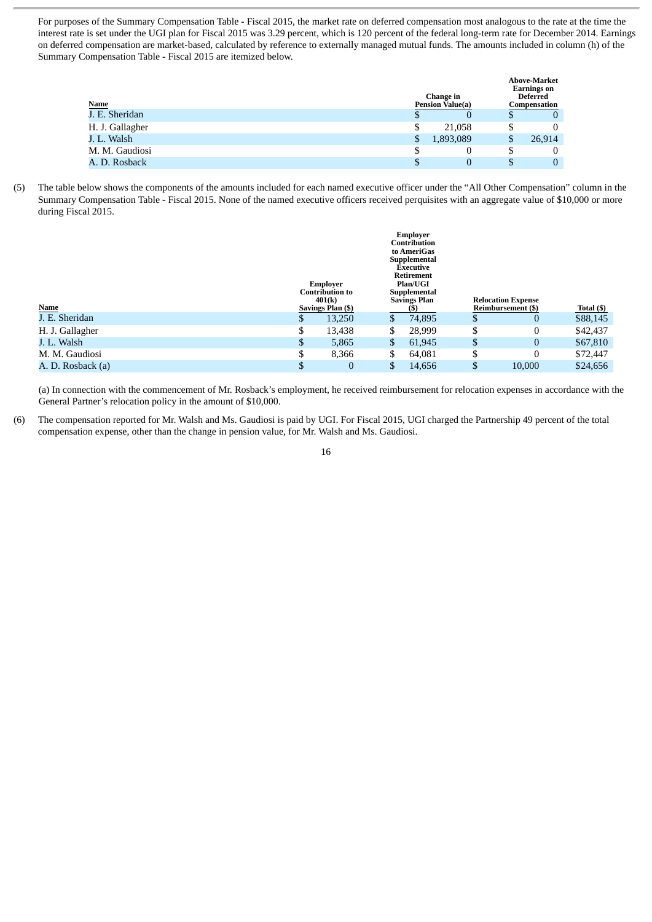For purposes of the Summary Compensation Table - Fiscal 2015, the market rate on deferred compensation most analogous to the rate at the time the interest rate is set under the UGI plan for Fiscal 2015 was 3.29 percent, which is 120 percent of the federal long-term rate for December 2014. Earnings on deferred compensation are market-based, calculated by reference to externally managed mutual funds. The amounts included in column (h) of the Summary Compensation Table - Fiscal 2015 are itemized below.

| Name<br>J. E. Sheridan |    | Change in<br><b>Pension Value(a)</b> |   | <b>Above-Market</b><br><b>Earnings</b> on<br><b>Deferred</b><br>Compensation |
|------------------------|----|--------------------------------------|---|------------------------------------------------------------------------------|
|                        |    | 0                                    |   | $\bf{0}$                                                                     |
| H. J. Gallagher        | \$ | 21.058                               |   | $\bf{0}$                                                                     |
| J. L. Walsh            | S  | 1,893,089                            | D | 26,914                                                                       |
| M. M. Gaudiosi         |    | 0                                    |   | $\bf{0}$                                                                     |
| A. D. Rosback          |    | $\Omega$                             |   | $\mathbf{0}$                                                                 |

(5) The table below shows the components of the amounts included for each named executive officer under the "All Other Compensation" column in the Summary Compensation Table - Fiscal 2015. None of the named executive officers received perquisites with an aggregate value of \$10,000 or more during Fiscal 2015.

|                   |    | Employer<br><b>Contribution to</b><br>401(k) | Employer<br><b>Contribution</b><br>to AmeriGas<br>Supplemental<br><b>Executive</b><br><b>Retirement</b><br>Plan/UGI<br>Supplemental<br><b>Savings Plan</b> |    | <b>Relocation Expense</b> |            |
|-------------------|----|----------------------------------------------|------------------------------------------------------------------------------------------------------------------------------------------------------------|----|---------------------------|------------|
| Name              |    | Savings Plan (\$)                            |                                                                                                                                                            |    | Reimbursement (\$)        | Total (\$) |
| J. E. Sheridan    | Φ  | 13,250                                       | \$<br>74,895                                                                                                                                               | D  | U                         | \$88,145   |
| H. J. Gallagher   | \$ | 13,438                                       | \$<br>28,999                                                                                                                                               | \$ |                           | \$42,437   |
| J. L. Walsh       | \$ | 5,865                                        | \$<br>61,945                                                                                                                                               | \$ | $\Omega$                  | \$67,810   |
| M. M. Gaudiosi    | \$ | 8,366                                        | \$<br>64,081                                                                                                                                               | \$ |                           | \$72,447   |
| A. D. Rosback (a) | \$ | 0                                            | \$<br>14,656                                                                                                                                               |    | 10,000                    | \$24,656   |

(a) In connection with the commencement of Mr. Rosback's employment, he received reimbursement for relocation expenses in accordance with the General Partner's relocation policy in the amount of \$10,000.

(6) The compensation reported for Mr. Walsh and Ms. Gaudiosi is paid by UGI. For Fiscal 2015, UGI charged the Partnership 49 percent of the total compensation expense, other than the change in pension value, for Mr. Walsh and Ms. Gaudiosi.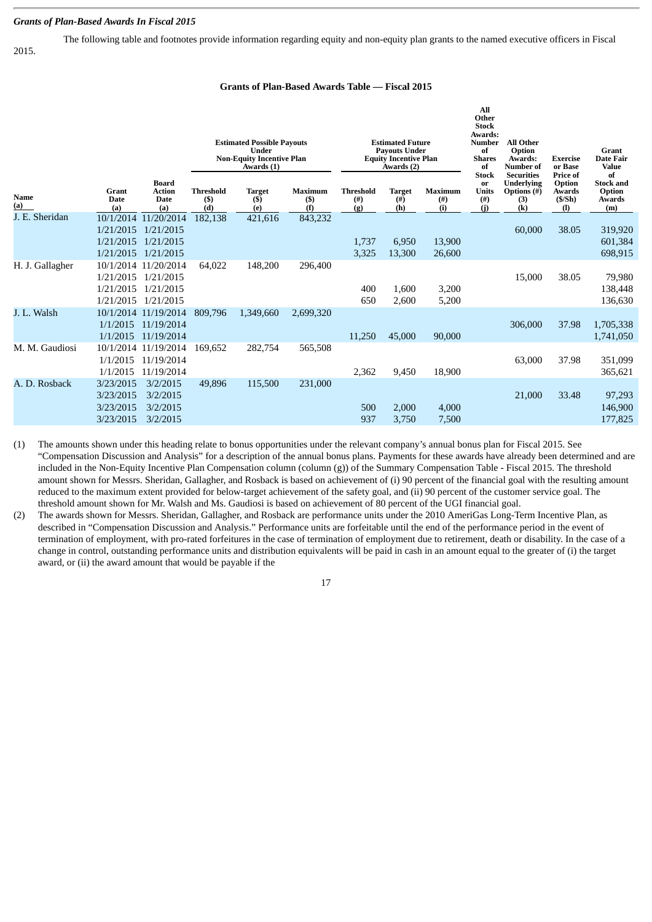## *Grants of Plan-Based Awards In Fiscal 2015*

The following table and footnotes provide information regarding equity and non-equity plan grants to the named executive officers in Fiscal 2015.

# **Grants of Plan-Based Awards Table — Fiscal 2015**

|                    |                        |                                                     |                                  | <b>Estimated Possible Payouts</b><br>Under<br><b>Non-Equity Incentive Plan</b><br>Awards (1) |                                 |                                      | <b>Estimated Future</b><br><b>Payouts Under</b><br><b>Equity Incentive Plan</b><br>Awards (2) |                               | All<br>Other<br><b>Stock</b><br>Awards:<br>Number<br>of<br><b>Shares</b><br>of | <b>All Other</b><br>Option<br>Awards:<br><b>Number of</b>                                         | <b>Exercise</b><br>or Base                                | <b>Grant</b><br><b>Date Fair</b><br><b>Value</b>         |
|--------------------|------------------------|-----------------------------------------------------|----------------------------------|----------------------------------------------------------------------------------------------|---------------------------------|--------------------------------------|-----------------------------------------------------------------------------------------------|-------------------------------|--------------------------------------------------------------------------------|---------------------------------------------------------------------------------------------------|-----------------------------------------------------------|----------------------------------------------------------|
| <b>Name</b><br>(a) | Grant<br>Date<br>(a)   | <b>Board</b><br><b>Action</b><br><b>Date</b><br>(a) | <b>Threshold</b><br>$($)$<br>(d) | <b>Target</b><br>$($)$<br>(e)                                                                | <b>Maximum</b><br>$($ \$<br>(f) | <b>Threshold</b><br>$($ # $)$<br>(g) | <b>Target</b><br>(# )<br>(h)                                                                  | <b>Maximum</b><br>(# )<br>(i) | <b>Stock</b><br>or<br><b>Units</b><br>$($ # $)$<br>(i)                         | <b>Securities</b><br><b>Underlying</b><br><b>Options</b> (#)<br>(3)<br>$\left( \mathbf{k}\right)$ | <b>Price of</b><br>Option<br>Awards<br>(S/Sh)<br>$\bf{I}$ | of<br><b>Stock and</b><br>Option<br><b>Awards</b><br>(m) |
| J. E. Sheridan     | 10/1/2014              | 11/20/2014                                          | 182,138                          | 421,616                                                                                      | 843,232                         |                                      |                                                                                               |                               |                                                                                |                                                                                                   |                                                           |                                                          |
|                    | 1/21/2015<br>1/21/2015 | 1/21/2015<br>1/21/2015                              |                                  |                                                                                              |                                 | 1,737                                | 6,950                                                                                         | 13,900                        |                                                                                | 60,000                                                                                            | 38.05                                                     | 319,920<br>601,384                                       |
|                    | 1/21/2015              | 1/21/2015                                           |                                  |                                                                                              |                                 | 3,325                                | 13,300                                                                                        | 26,600                        |                                                                                |                                                                                                   |                                                           | 698,915                                                  |
| H. J. Gallagher    |                        | 10/1/2014 11/20/2014                                | 64,022                           | 148,200                                                                                      | 296,400                         |                                      |                                                                                               |                               |                                                                                |                                                                                                   |                                                           |                                                          |
|                    |                        | 1/21/2015 1/21/2015                                 |                                  |                                                                                              |                                 |                                      |                                                                                               |                               |                                                                                | 15,000                                                                                            | 38.05                                                     | 79,980                                                   |
|                    | 1/21/2015              | 1/21/2015                                           |                                  |                                                                                              |                                 | 400                                  | 1,600                                                                                         | 3,200                         |                                                                                |                                                                                                   |                                                           | 138,448                                                  |
|                    |                        | 1/21/2015 1/21/2015                                 |                                  |                                                                                              |                                 | 650                                  | 2,600                                                                                         | 5,200                         |                                                                                |                                                                                                   |                                                           | 136,630                                                  |
| J. L. Walsh        |                        | 10/1/2014 11/19/2014                                | 809.796                          | 1,349,660                                                                                    | 2,699,320                       |                                      |                                                                                               |                               |                                                                                |                                                                                                   |                                                           |                                                          |
|                    | 1/1/2015<br>1/1/2015   | 11/19/2014<br>11/19/2014                            |                                  |                                                                                              |                                 | 11,250                               | 45,000                                                                                        | 90,000                        |                                                                                | 306,000                                                                                           | 37.98                                                     | 1,705,338<br>1,741,050                                   |
| M. M. Gaudiosi     |                        | 10/1/2014 11/19/2014                                | 169.652                          | 282,754                                                                                      | 565,508                         |                                      |                                                                                               |                               |                                                                                |                                                                                                   |                                                           |                                                          |
|                    | 1/1/2015               | 11/19/2014                                          |                                  |                                                                                              |                                 |                                      |                                                                                               |                               |                                                                                | 63,000                                                                                            | 37.98                                                     | 351,099                                                  |
|                    | 1/1/2015               | 11/19/2014                                          |                                  |                                                                                              |                                 | 2,362                                | 9,450                                                                                         | 18,900                        |                                                                                |                                                                                                   |                                                           | 365,621                                                  |
| A. D. Rosback      | 3/23/2015              | 3/2/2015                                            | 49.896                           | 115,500                                                                                      | 231,000                         |                                      |                                                                                               |                               |                                                                                |                                                                                                   |                                                           |                                                          |
|                    | 3/23/2015              | 3/2/2015                                            |                                  |                                                                                              |                                 |                                      |                                                                                               |                               |                                                                                | 21,000                                                                                            | 33.48                                                     | 97,293                                                   |
|                    | 3/23/2015              | 3/2/2015                                            |                                  |                                                                                              |                                 | 500                                  | 2,000                                                                                         | 4,000                         |                                                                                |                                                                                                   |                                                           | 146,900                                                  |
|                    | 3/23/2015              | 3/2/2015                                            |                                  |                                                                                              |                                 | 937                                  | 3,750                                                                                         | 7,500                         |                                                                                |                                                                                                   |                                                           | 177,825                                                  |

(1) The amounts shown under this heading relate to bonus opportunities under the relevant company's annual bonus plan for Fiscal 2015. See "Compensation Discussion and Analysis" for a description of the annual bonus plans. Payments for these awards have already been determined and are included in the Non-Equity Incentive Plan Compensation column (column (g)) of the Summary Compensation Table - Fiscal 2015. The threshold amount shown for Messrs. Sheridan, Gallagher, and Rosback is based on achievement of (i) 90 percent of the financial goal with the resulting amount reduced to the maximum extent provided for below-target achievement of the safety goal, and (ii) 90 percent of the customer service goal. The threshold amount shown for Mr. Walsh and Ms. Gaudiosi is based on achievement of 80 percent of the UGI financial goal.

(2) The awards shown for Messrs. Sheridan, Gallagher, and Rosback are performance units under the 2010 AmeriGas Long-Term Incentive Plan, as described in "Compensation Discussion and Analysis." Performance units are forfeitable until the end of the performance period in the event of termination of employment, with pro-rated forfeitures in the case of termination of employment due to retirement, death or disability. In the case of a change in control, outstanding performance units and distribution equivalents will be paid in cash in an amount equal to the greater of (i) the target award, or (ii) the award amount that would be payable if the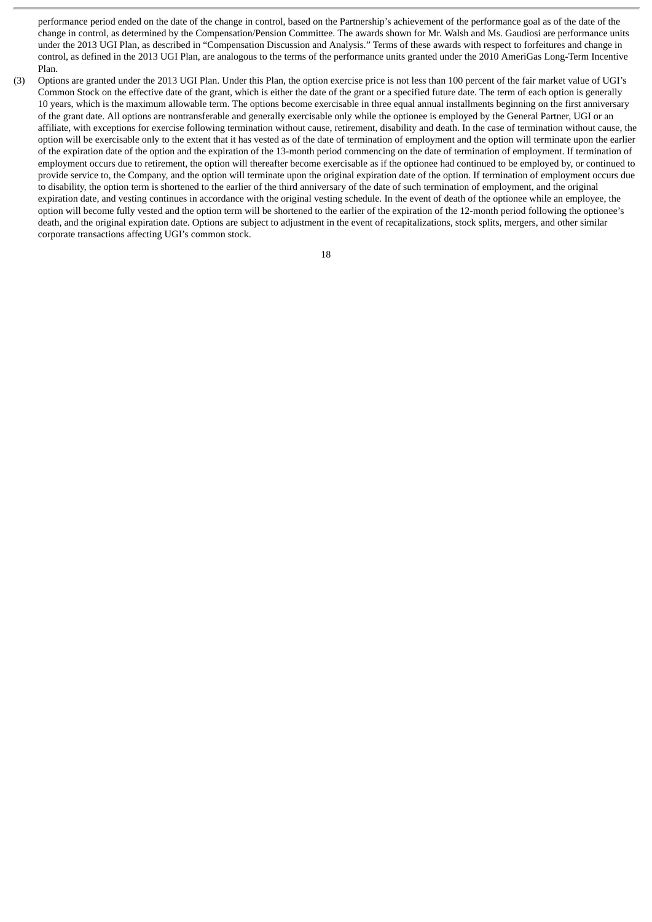performance period ended on the date of the change in control, based on the Partnership's achievement of the performance goal as of the date of the change in control, as determined by the Compensation/Pension Committee. The awards shown for Mr. Walsh and Ms. Gaudiosi are performance units under the 2013 UGI Plan, as described in "Compensation Discussion and Analysis." Terms of these awards with respect to forfeitures and change in control, as defined in the 2013 UGI Plan, are analogous to the terms of the performance units granted under the 2010 AmeriGas Long-Term Incentive Plan.

(3) Options are granted under the 2013 UGI Plan. Under this Plan, the option exercise price is not less than 100 percent of the fair market value of UGI's Common Stock on the effective date of the grant, which is either the date of the grant or a specified future date. The term of each option is generally 10 years, which is the maximum allowable term. The options become exercisable in three equal annual installments beginning on the first anniversary of the grant date. All options are nontransferable and generally exercisable only while the optionee is employed by the General Partner, UGI or an affiliate, with exceptions for exercise following termination without cause, retirement, disability and death. In the case of termination without cause, the option will be exercisable only to the extent that it has vested as of the date of termination of employment and the option will terminate upon the earlier of the expiration date of the option and the expiration of the 13-month period commencing on the date of termination of employment. If termination of employment occurs due to retirement, the option will thereafter become exercisable as if the optionee had continued to be employed by, or continued to provide service to, the Company, and the option will terminate upon the original expiration date of the option. If termination of employment occurs due to disability, the option term is shortened to the earlier of the third anniversary of the date of such termination of employment, and the original expiration date, and vesting continues in accordance with the original vesting schedule. In the event of death of the optionee while an employee, the option will become fully vested and the option term will be shortened to the earlier of the expiration of the 12-month period following the optionee's death, and the original expiration date. Options are subject to adjustment in the event of recapitalizations, stock splits, mergers, and other similar corporate transactions affecting UGI's common stock.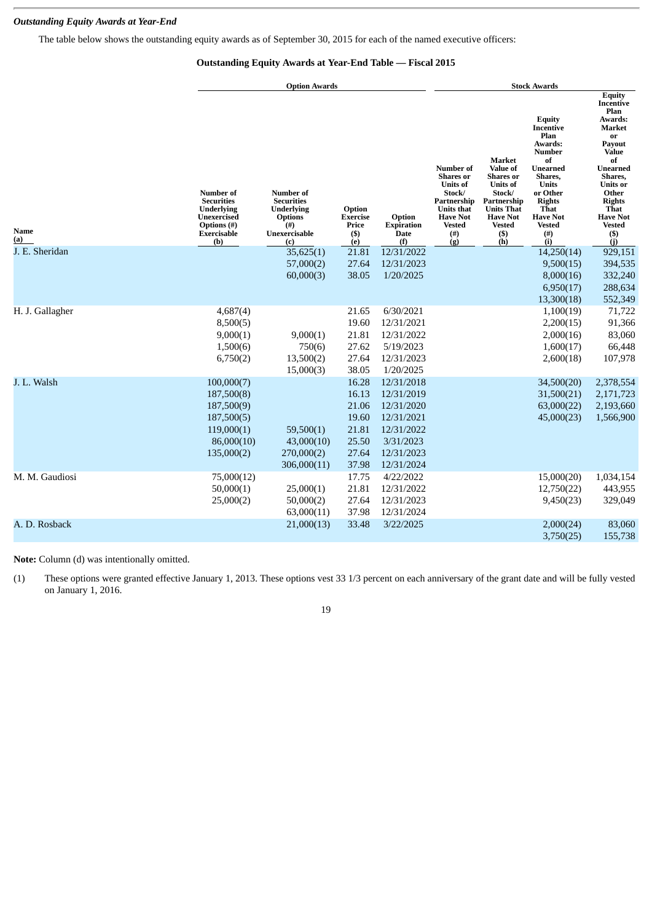# *Outstanding Equity Awards at Year-End*

The table below shows the outstanding equity awards as of September 30, 2015 for each of the named executive officers:

# **Outstanding Equity Awards at Year-End Table — Fiscal 2015**

|                    |                                                                                                                | <b>Option Awards</b>                                                                                      |                                                      | <b>Stock Awards</b>                        |                                                                                                                                                            |                                                                                                                                                                        |                                                                                                                                                                                                                         |                                                                                                                                                                                                                               |
|--------------------|----------------------------------------------------------------------------------------------------------------|-----------------------------------------------------------------------------------------------------------|------------------------------------------------------|--------------------------------------------|------------------------------------------------------------------------------------------------------------------------------------------------------------|------------------------------------------------------------------------------------------------------------------------------------------------------------------------|-------------------------------------------------------------------------------------------------------------------------------------------------------------------------------------------------------------------------|-------------------------------------------------------------------------------------------------------------------------------------------------------------------------------------------------------------------------------|
| Name<br><u>(a)</u> | <b>Number of</b><br><b>Securities</b><br><b>Underlying</b><br>Unexercised<br>Options (#)<br>Exercisable<br>(b) | Number of<br><b>Securities</b><br><b>Underlying</b><br><b>Options</b><br>$^{(#)}$<br>Unexercisable<br>(c) | Option<br><b>Exercise</b><br>Price<br>$($ \$)<br>(e) | Option<br><b>Expiration</b><br>Date<br>(f) | <b>Number</b> of<br><b>Shares</b> or<br><b>Units of</b><br>Stock/<br>Partnership<br><b>Units that</b><br><b>Have Not</b><br><b>Vested</b><br>$(\#)$<br>(g) | Market<br><b>Value of</b><br>Shares or<br><b>Units of</b><br>Stock/<br>Partnership<br><b>Units That</b><br><b>Have Not</b><br><b>Vested</b><br>$\binom{(\$)}{(\hbar)}$ | <b>Equity</b><br><b>Incentive</b><br>Plan<br>Awards:<br><b>Number</b><br>of<br><b>Unearned</b><br>Shares,<br><b>Units</b><br>or Other<br><b>Rights</b><br><b>That</b><br><b>Have Not</b><br><b>Vested</b><br>(#)<br>(i) | <b>Equity</b><br>Incentive<br>Plan<br>Awards:<br><b>Market</b><br>or<br>Payout<br>Value<br>of<br>Unearned<br>Shares,<br><b>Units</b> or<br>Other<br><b>Rights</b><br>That<br><b>Have Not</b><br><b>Vested</b><br>$($)$<br>(i) |
| J. E. Sheridan     |                                                                                                                | 35,625(1)                                                                                                 | 21.81                                                | 12/31/2022                                 |                                                                                                                                                            |                                                                                                                                                                        | 14,250(14)                                                                                                                                                                                                              | 929,151                                                                                                                                                                                                                       |
|                    |                                                                                                                | 57,000(2)                                                                                                 | 27.64                                                | 12/31/2023                                 |                                                                                                                                                            |                                                                                                                                                                        | 9,500(15)                                                                                                                                                                                                               | 394,535                                                                                                                                                                                                                       |
|                    |                                                                                                                | 60,000(3)                                                                                                 | 38.05                                                | 1/20/2025                                  |                                                                                                                                                            |                                                                                                                                                                        | 8,000(16)                                                                                                                                                                                                               | 332,240                                                                                                                                                                                                                       |
|                    |                                                                                                                |                                                                                                           |                                                      |                                            |                                                                                                                                                            |                                                                                                                                                                        | 6,950(17)                                                                                                                                                                                                               | 288,634                                                                                                                                                                                                                       |
|                    |                                                                                                                |                                                                                                           |                                                      |                                            |                                                                                                                                                            |                                                                                                                                                                        | 13,300(18)                                                                                                                                                                                                              | 552,349                                                                                                                                                                                                                       |
| H. J. Gallagher    | 4,687(4)                                                                                                       |                                                                                                           | 21.65                                                | 6/30/2021                                  |                                                                                                                                                            |                                                                                                                                                                        | 1,100(19)                                                                                                                                                                                                               | 71,722                                                                                                                                                                                                                        |
|                    | 8,500(5)                                                                                                       |                                                                                                           | 19.60                                                | 12/31/2021                                 |                                                                                                                                                            |                                                                                                                                                                        | 2,200(15)                                                                                                                                                                                                               | 91,366                                                                                                                                                                                                                        |
|                    | 9,000(1)                                                                                                       | 9,000(1)                                                                                                  | 21.81                                                | 12/31/2022                                 |                                                                                                                                                            |                                                                                                                                                                        | 2,000(16)                                                                                                                                                                                                               | 83,060                                                                                                                                                                                                                        |
|                    | 1,500(6)                                                                                                       | 750(6)                                                                                                    | 27.62                                                | 5/19/2023                                  |                                                                                                                                                            |                                                                                                                                                                        | 1,600(17)                                                                                                                                                                                                               | 66,448                                                                                                                                                                                                                        |
|                    | 6,750(2)                                                                                                       | 13,500(2)                                                                                                 | 27.64                                                | 12/31/2023                                 |                                                                                                                                                            |                                                                                                                                                                        | 2,600(18)                                                                                                                                                                                                               | 107,978                                                                                                                                                                                                                       |
|                    |                                                                                                                | 15,000(3)                                                                                                 | 38.05                                                | 1/20/2025                                  |                                                                                                                                                            |                                                                                                                                                                        |                                                                                                                                                                                                                         |                                                                                                                                                                                                                               |
| J. L. Walsh        | 100,000(7)                                                                                                     |                                                                                                           | 16.28                                                | 12/31/2018                                 |                                                                                                                                                            |                                                                                                                                                                        | 34,500(20)                                                                                                                                                                                                              | 2,378,554                                                                                                                                                                                                                     |
|                    | 187,500(8)                                                                                                     |                                                                                                           | 16.13                                                | 12/31/2019                                 |                                                                                                                                                            |                                                                                                                                                                        | 31,500(21)                                                                                                                                                                                                              | 2,171,723                                                                                                                                                                                                                     |
|                    | 187,500(9)                                                                                                     |                                                                                                           | 21.06                                                | 12/31/2020                                 |                                                                                                                                                            |                                                                                                                                                                        | 63,000(22)                                                                                                                                                                                                              | 2,193,660                                                                                                                                                                                                                     |
|                    | 187,500(5)                                                                                                     |                                                                                                           | 19.60                                                | 12/31/2021                                 |                                                                                                                                                            |                                                                                                                                                                        | 45,000(23)                                                                                                                                                                                                              | 1,566,900                                                                                                                                                                                                                     |
|                    | 119,000(1)                                                                                                     | 59,500(1)                                                                                                 | 21.81                                                | 12/31/2022                                 |                                                                                                                                                            |                                                                                                                                                                        |                                                                                                                                                                                                                         |                                                                                                                                                                                                                               |
|                    | 86,000(10)                                                                                                     | 43,000(10)                                                                                                | 25.50                                                | 3/31/2023                                  |                                                                                                                                                            |                                                                                                                                                                        |                                                                                                                                                                                                                         |                                                                                                                                                                                                                               |
|                    | 135,000(2)                                                                                                     | 270,000(2)                                                                                                | 27.64                                                | 12/31/2023                                 |                                                                                                                                                            |                                                                                                                                                                        |                                                                                                                                                                                                                         |                                                                                                                                                                                                                               |
|                    |                                                                                                                | 306,000(11)                                                                                               | 37.98                                                | 12/31/2024                                 |                                                                                                                                                            |                                                                                                                                                                        |                                                                                                                                                                                                                         |                                                                                                                                                                                                                               |
| M. M. Gaudiosi     | 75,000(12)                                                                                                     |                                                                                                           | 17.75                                                | 4/22/2022                                  |                                                                                                                                                            |                                                                                                                                                                        | 15,000(20)                                                                                                                                                                                                              | 1,034,154                                                                                                                                                                                                                     |
|                    | 50,000(1)                                                                                                      | 25,000(1)                                                                                                 | 21.81                                                | 12/31/2022                                 |                                                                                                                                                            |                                                                                                                                                                        | 12,750(22)                                                                                                                                                                                                              | 443,955                                                                                                                                                                                                                       |
|                    | 25,000(2)                                                                                                      | 50,000(2)                                                                                                 | 27.64                                                | 12/31/2023                                 |                                                                                                                                                            |                                                                                                                                                                        | 9,450(23)                                                                                                                                                                                                               | 329,049                                                                                                                                                                                                                       |
|                    |                                                                                                                | 63,000(11)                                                                                                | 37.98                                                | 12/31/2024                                 |                                                                                                                                                            |                                                                                                                                                                        |                                                                                                                                                                                                                         |                                                                                                                                                                                                                               |
| A. D. Rosback      |                                                                                                                | 21,000(13)                                                                                                | 33.48                                                | 3/22/2025                                  |                                                                                                                                                            |                                                                                                                                                                        | 2,000(24)<br>3,750(25)                                                                                                                                                                                                  | 83,060<br>155,738                                                                                                                                                                                                             |

**Note:** Column (d) was intentionally omitted.

(1) These options were granted effective January 1, 2013. These options vest 33 1/3 percent on each anniversary of the grant date and will be fully vested on January 1, 2016.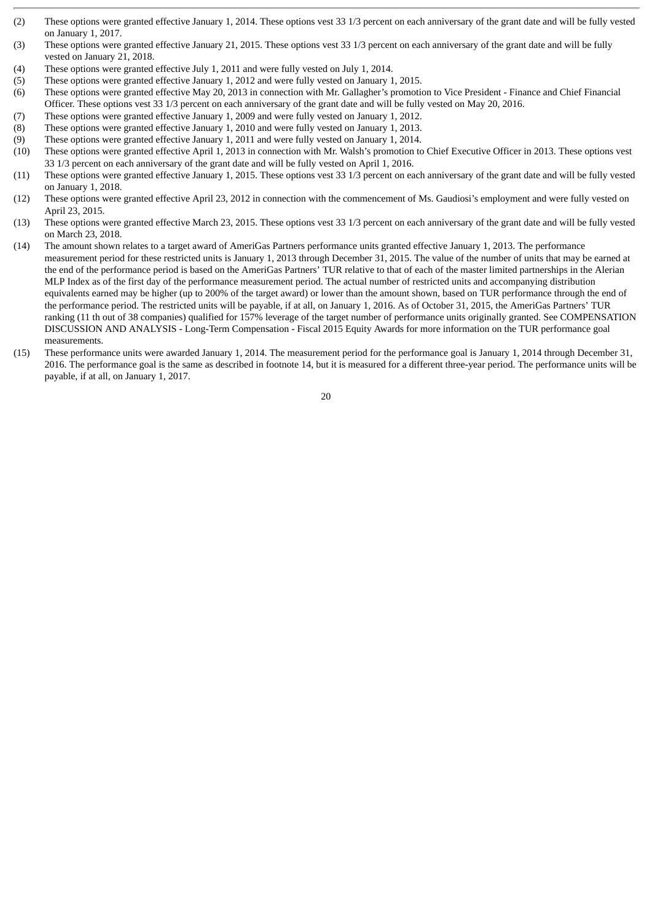- (2) These options were granted effective January 1, 2014. These options vest 33 1/3 percent on each anniversary of the grant date and will be fully vested on January 1, 2017.
- (3) These options were granted effective January 21, 2015. These options vest 33 1/3 percent on each anniversary of the grant date and will be fully vested on January 21, 2018.
- (4) These options were granted effective July 1, 2011 and were fully vested on July 1, 2014.
- (5) These options were granted effective January 1, 2012 and were fully vested on January 1, 2015.
- (6) These options were granted effective May 20, 2013 in connection with Mr. Gallagher's promotion to Vice President Finance and Chief Financial Officer. These options vest 33 1/3 percent on each anniversary of the grant date and will be fully vested on May 20, 2016.
- (7) These options were granted effective January 1, 2009 and were fully vested on January 1, 2012.
- (8) These options were granted effective January 1, 2010 and were fully vested on January 1, 2013.
- (9) These options were granted effective January 1, 2011 and were fully vested on January 1, 2014.
- (10) These options were granted effective April 1, 2013 in connection with Mr. Walsh's promotion to Chief Executive Officer in 2013. These options vest 33 1/3 percent on each anniversary of the grant date and will be fully vested on April 1, 2016.
- (11) These options were granted effective January 1, 2015. These options vest 33 1/3 percent on each anniversary of the grant date and will be fully vested on January 1, 2018.
- (12) These options were granted effective April 23, 2012 in connection with the commencement of Ms. Gaudiosi's employment and were fully vested on April 23, 2015.
- (13) These options were granted effective March 23, 2015. These options vest 33 1/3 percent on each anniversary of the grant date and will be fully vested on March 23, 2018.
- (14) The amount shown relates to a target award of AmeriGas Partners performance units granted effective January 1, 2013. The performance measurement period for these restricted units is January 1, 2013 through December 31, 2015. The value of the number of units that may be earned at the end of the performance period is based on the AmeriGas Partners' TUR relative to that of each of the master limited partnerships in the Alerian MLP Index as of the first day of the performance measurement period. The actual number of restricted units and accompanying distribution equivalents earned may be higher (up to 200% of the target award) or lower than the amount shown, based on TUR performance through the end of the performance period. The restricted units will be payable, if at all, on January 1, 2016. As of October 31, 2015, the AmeriGas Partners' TUR ranking (11 th out of 38 companies) qualified for 157% leverage of the target number of performance units originally granted. See COMPENSATION DISCUSSION AND ANALYSIS - Long-Term Compensation - Fiscal 2015 Equity Awards for more information on the TUR performance goal measurements.
- (15) These performance units were awarded January 1, 2014. The measurement period for the performance goal is January 1, 2014 through December 31, 2016. The performance goal is the same as described in footnote 14, but it is measured for a different three-year period. The performance units will be payable, if at all, on January 1, 2017.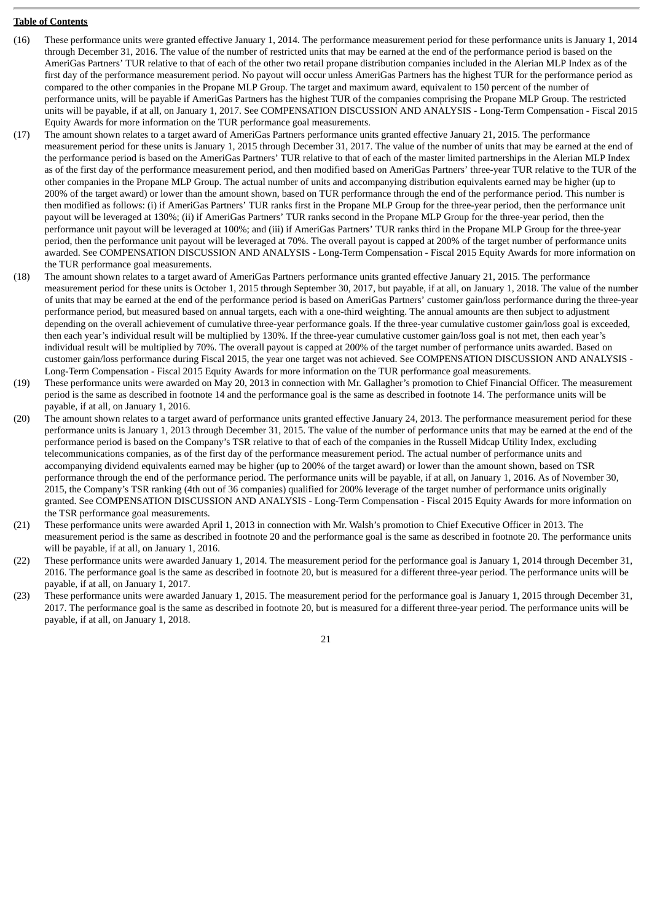# **Table of Contents**

- (16) These performance units were granted effective January 1, 2014. The performance measurement period for these performance units is January 1, 2014 through December 31, 2016. The value of the number of restricted units that may be earned at the end of the performance period is based on the AmeriGas Partners' TUR relative to that of each of the other two retail propane distribution companies included in the Alerian MLP Index as of the first day of the performance measurement period. No payout will occur unless AmeriGas Partners has the highest TUR for the performance period as compared to the other companies in the Propane MLP Group. The target and maximum award, equivalent to 150 percent of the number of performance units, will be payable if AmeriGas Partners has the highest TUR of the companies comprising the Propane MLP Group. The restricted units will be payable, if at all, on January 1, 2017. See COMPENSATION DISCUSSION AND ANALYSIS - Long-Term Compensation - Fiscal 2015 Equity Awards for more information on the TUR performance goal measurements.
- (17) The amount shown relates to a target award of AmeriGas Partners performance units granted effective January 21, 2015. The performance measurement period for these units is January 1, 2015 through December 31, 2017. The value of the number of units that may be earned at the end of the performance period is based on the AmeriGas Partners' TUR relative to that of each of the master limited partnerships in the Alerian MLP Index as of the first day of the performance measurement period, and then modified based on AmeriGas Partners' three-year TUR relative to the TUR of the other companies in the Propane MLP Group. The actual number of units and accompanying distribution equivalents earned may be higher (up to 200% of the target award) or lower than the amount shown, based on TUR performance through the end of the performance period. This number is then modified as follows: (i) if AmeriGas Partners' TUR ranks first in the Propane MLP Group for the three-year period, then the performance unit payout will be leveraged at 130%; (ii) if AmeriGas Partners' TUR ranks second in the Propane MLP Group for the three-year period, then the performance unit payout will be leveraged at 100%; and (iii) if AmeriGas Partners' TUR ranks third in the Propane MLP Group for the three-year period, then the performance unit payout will be leveraged at 70%. The overall payout is capped at 200% of the target number of performance units awarded. See COMPENSATION DISCUSSION AND ANALYSIS - Long-Term Compensation - Fiscal 2015 Equity Awards for more information on the TUR performance goal measurements.
- (18) The amount shown relates to a target award of AmeriGas Partners performance units granted effective January 21, 2015. The performance measurement period for these units is October 1, 2015 through September 30, 2017, but payable, if at all, on January 1, 2018. The value of the number of units that may be earned at the end of the performance period is based on AmeriGas Partners' customer gain/loss performance during the three-year performance period, but measured based on annual targets, each with a one-third weighting. The annual amounts are then subject to adjustment depending on the overall achievement of cumulative three-year performance goals. If the three-year cumulative customer gain/loss goal is exceeded, then each year's individual result will be multiplied by 130%. If the three-year cumulative customer gain/loss goal is not met, then each year's individual result will be multiplied by 70%. The overall payout is capped at 200% of the target number of performance units awarded. Based on customer gain/loss performance during Fiscal 2015, the year one target was not achieved. See COMPENSATION DISCUSSION AND ANALYSIS - Long-Term Compensation - Fiscal 2015 Equity Awards for more information on the TUR performance goal measurements.
- (19) These performance units were awarded on May 20, 2013 in connection with Mr. Gallagher's promotion to Chief Financial Officer. The measurement period is the same as described in footnote 14 and the performance goal is the same as described in footnote 14. The performance units will be payable, if at all, on January 1, 2016.
- (20) The amount shown relates to a target award of performance units granted effective January 24, 2013. The performance measurement period for these performance units is January 1, 2013 through December 31, 2015. The value of the number of performance units that may be earned at the end of the performance period is based on the Company's TSR relative to that of each of the companies in the Russell Midcap Utility Index, excluding telecommunications companies, as of the first day of the performance measurement period. The actual number of performance units and accompanying dividend equivalents earned may be higher (up to 200% of the target award) or lower than the amount shown, based on TSR performance through the end of the performance period. The performance units will be payable, if at all, on January 1, 2016. As of November 30, 2015, the Company's TSR ranking (4th out of 36 companies) qualified for 200% leverage of the target number of performance units originally granted. See COMPENSATION DISCUSSION AND ANALYSIS - Long-Term Compensation - Fiscal 2015 Equity Awards for more information on the TSR performance goal measurements.
- (21) These performance units were awarded April 1, 2013 in connection with Mr. Walsh's promotion to Chief Executive Officer in 2013. The measurement period is the same as described in footnote 20 and the performance goal is the same as described in footnote 20. The performance units will be payable, if at all, on January 1, 2016.
- (22) These performance units were awarded January 1, 2014. The measurement period for the performance goal is January 1, 2014 through December 31, 2016. The performance goal is the same as described in footnote 20, but is measured for a different three-year period. The performance units will be payable, if at all, on January 1, 2017.
- (23) These performance units were awarded January 1, 2015. The measurement period for the performance goal is January 1, 2015 through December 31, 2017. The performance goal is the same as described in footnote 20, but is measured for a different three-year period. The performance units will be payable, if at all, on January 1, 2018.

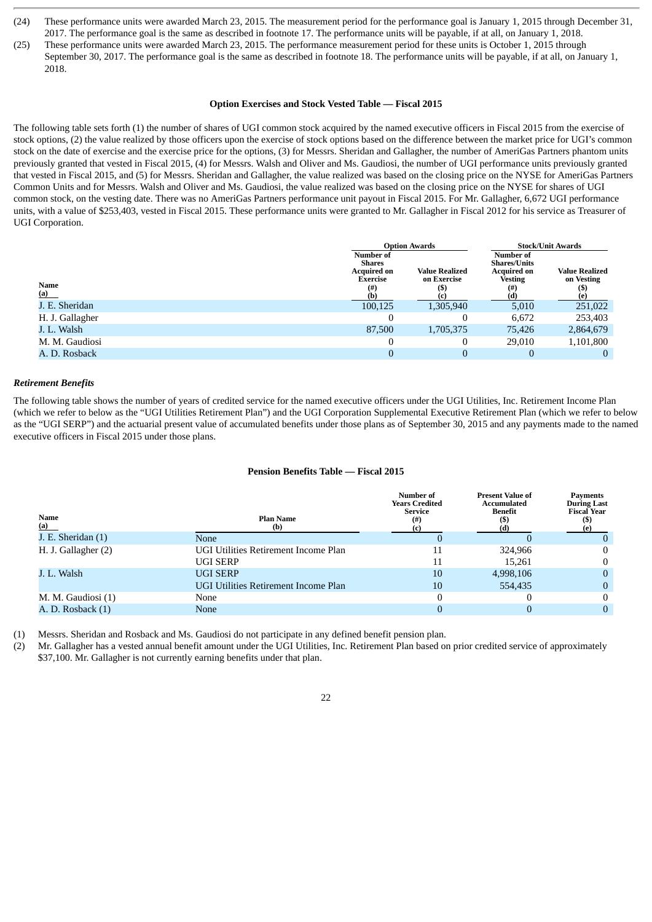- (24) These performance units were awarded March 23, 2015. The measurement period for the performance goal is January 1, 2015 through December 31, 2017. The performance goal is the same as described in footnote 17. The performance units will be payable, if at all, on January 1, 2018.
- (25) These performance units were awarded March 23, 2015. The performance measurement period for these units is October 1, 2015 through September 30, 2017. The performance goal is the same as described in footnote 18. The performance units will be payable, if at all, on January 1, 2018.

#### **Option Exercises and Stock Vested Table — Fiscal 2015**

The following table sets forth (1) the number of shares of UGI common stock acquired by the named executive officers in Fiscal 2015 from the exercise of stock options, (2) the value realized by those officers upon the exercise of stock options based on the difference between the market price for UGI's common stock on the date of exercise and the exercise price for the options, (3) for Messrs. Sheridan and Gallagher, the number of AmeriGas Partners phantom units previously granted that vested in Fiscal 2015, (4) for Messrs. Walsh and Oliver and Ms. Gaudiosi, the number of UGI performance units previously granted that vested in Fiscal 2015, and (5) for Messrs. Sheridan and Gallagher, the value realized was based on the closing price on the NYSE for AmeriGas Partners Common Units and for Messrs. Walsh and Oliver and Ms. Gaudiosi, the value realized was based on the closing price on the NYSE for shares of UGI common stock, on the vesting date. There was no AmeriGas Partners performance unit payout in Fiscal 2015. For Mr. Gallagher, 6,672 UGI performance units, with a value of \$253,403, vested in Fiscal 2015. These performance units were granted to Mr. Gallagher in Fiscal 2012 for his service as Treasurer of UGI Corporation.

|                 |                                                                            | <b>Option Awards</b>                 |                                                                                               | <b>Stock/Unit Awards</b>            |
|-----------------|----------------------------------------------------------------------------|--------------------------------------|-----------------------------------------------------------------------------------------------|-------------------------------------|
| Name<br>(a)     | Number of<br><b>Shares</b><br><b>Acquired on</b><br>Exercise<br>(#)<br>(b) | <b>Value Realized</b><br>on Exercise | <b>Number of</b><br><b>Shares/Units</b><br><b>Acquired on</b><br><b>Vesting</b><br>(#)<br>(d) | <b>Value Realized</b><br>on Vesting |
| J. E. Sheridan  | 100,125                                                                    | 1,305,940                            | 5,010                                                                                         | 251,022                             |
| H. J. Gallagher |                                                                            |                                      | 6,672                                                                                         | 253,403                             |
| J. L. Walsh     | 87,500                                                                     | 1,705,375                            | 75,426                                                                                        | 2,864,679                           |
| M. M. Gaudiosi  |                                                                            |                                      | 29,010                                                                                        | 1,101,800                           |
| A. D. Rosback   |                                                                            |                                      |                                                                                               |                                     |

#### *Retirement Benefits*

The following table shows the number of years of credited service for the named executive officers under the UGI Utilities, Inc. Retirement Income Plan (which we refer to below as the "UGI Utilities Retirement Plan") and the UGI Corporation Supplemental Executive Retirement Plan (which we refer to below as the "UGI SERP") and the actuarial present value of accumulated benefits under those plans as of September 30, 2015 and any payments made to the named executive officers in Fiscal 2015 under those plans.

#### **Pension Benefits Table — Fiscal 2015**

| Name<br>(a)         | <b>Plan Name</b><br>(b)              | Number of<br><b>Years Credited</b><br><b>Service</b><br>$^{(#)}$ | <b>Present Value of</b><br>Accumulated<br>Benefit | Pavments<br><b>During Last</b><br><b>Fiscal Year</b> |
|---------------------|--------------------------------------|------------------------------------------------------------------|---------------------------------------------------|------------------------------------------------------|
| J. E. Sheridan (1)  | None                                 |                                                                  |                                                   |                                                      |
| H. J. Gallagher (2) | UGI Utilities Retirement Income Plan | 11                                                               | 324,966                                           | $^{(1)}$                                             |
|                     | UGI SERP                             | 11                                                               | 15.261                                            | 0                                                    |
| J. L. Walsh         | <b>UGI SERP</b>                      | 10                                                               | 4,998,106                                         | 0                                                    |
|                     | UGI Utilities Retirement Income Plan | 10                                                               | 554,435                                           | 0                                                    |
| M. M. Gaudiosi (1)  | None                                 |                                                                  |                                                   | $^{(1)}$                                             |
| A. D. Rosback (1)   | <b>None</b>                          |                                                                  | 0                                                 | $\Omega$                                             |

(1) Messrs. Sheridan and Rosback and Ms. Gaudiosi do not participate in any defined benefit pension plan.

(2) Mr. Gallagher has a vested annual benefit amount under the UGI Utilities, Inc. Retirement Plan based on prior credited service of approximately \$37,100. Mr. Gallagher is not currently earning benefits under that plan.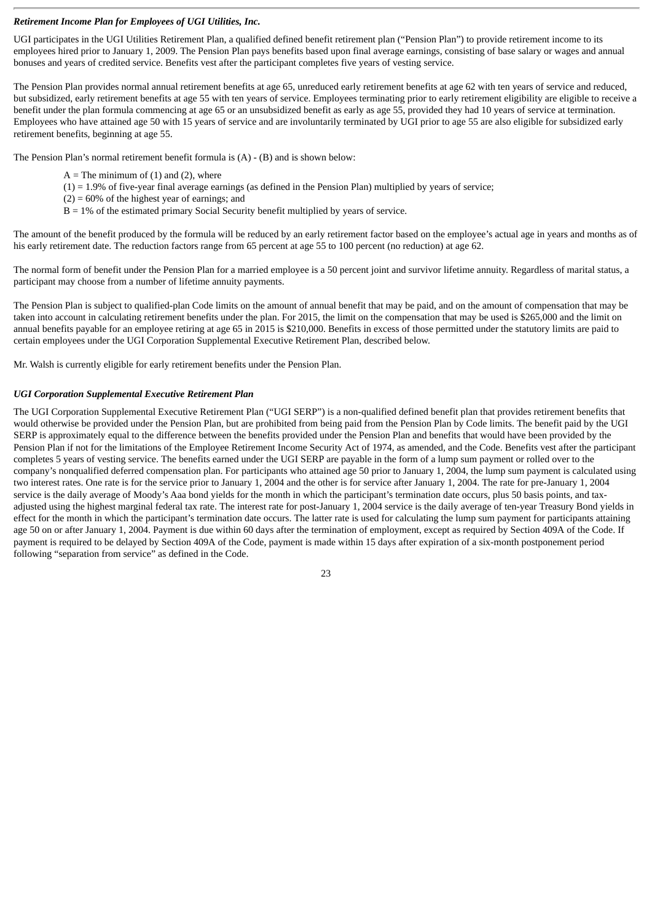# *Retirement Income Plan for Employees of UGI Utilities, Inc.*

UGI participates in the UGI Utilities Retirement Plan, a qualified defined benefit retirement plan ("Pension Plan") to provide retirement income to its employees hired prior to January 1, 2009. The Pension Plan pays benefits based upon final average earnings, consisting of base salary or wages and annual bonuses and years of credited service. Benefits vest after the participant completes five years of vesting service.

The Pension Plan provides normal annual retirement benefits at age 65, unreduced early retirement benefits at age 62 with ten years of service and reduced, but subsidized, early retirement benefits at age 55 with ten years of service. Employees terminating prior to early retirement eligibility are eligible to receive a benefit under the plan formula commencing at age 65 or an unsubsidized benefit as early as age 55, provided they had 10 years of service at termination. Employees who have attained age 50 with 15 years of service and are involuntarily terminated by UGI prior to age 55 are also eligible for subsidized early retirement benefits, beginning at age 55.

The Pension Plan's normal retirement benefit formula is (A) - (B) and is shown below:

- $A =$ The minimum of (1) and (2), where
- $(1) = 1.9\%$  of five-year final average earnings (as defined in the Pension Plan) multiplied by years of service;
- $(2) = 60\%$  of the highest year of earnings; and
- B = 1% of the estimated primary Social Security benefit multiplied by years of service.

The amount of the benefit produced by the formula will be reduced by an early retirement factor based on the employee's actual age in years and months as of his early retirement date. The reduction factors range from 65 percent at age 55 to 100 percent (no reduction) at age 62.

The normal form of benefit under the Pension Plan for a married employee is a 50 percent joint and survivor lifetime annuity. Regardless of marital status, a participant may choose from a number of lifetime annuity payments.

The Pension Plan is subject to qualified-plan Code limits on the amount of annual benefit that may be paid, and on the amount of compensation that may be taken into account in calculating retirement benefits under the plan. For 2015, the limit on the compensation that may be used is \$265,000 and the limit on annual benefits payable for an employee retiring at age 65 in 2015 is \$210,000. Benefits in excess of those permitted under the statutory limits are paid to certain employees under the UGI Corporation Supplemental Executive Retirement Plan, described below.

Mr. Walsh is currently eligible for early retirement benefits under the Pension Plan.

#### *UGI Corporation Supplemental Executive Retirement Plan*

The UGI Corporation Supplemental Executive Retirement Plan ("UGI SERP") is a non-qualified defined benefit plan that provides retirement benefits that would otherwise be provided under the Pension Plan, but are prohibited from being paid from the Pension Plan by Code limits. The benefit paid by the UGI SERP is approximately equal to the difference between the benefits provided under the Pension Plan and benefits that would have been provided by the Pension Plan if not for the limitations of the Employee Retirement Income Security Act of 1974, as amended, and the Code. Benefits vest after the participant completes 5 years of vesting service. The benefits earned under the UGI SERP are payable in the form of a lump sum payment or rolled over to the company's nonqualified deferred compensation plan. For participants who attained age 50 prior to January 1, 2004, the lump sum payment is calculated using two interest rates. One rate is for the service prior to January 1, 2004 and the other is for service after January 1, 2004. The rate for pre-January 1, 2004 service is the daily average of Moody's Aaa bond yields for the month in which the participant's termination date occurs, plus 50 basis points, and taxadjusted using the highest marginal federal tax rate. The interest rate for post-January 1, 2004 service is the daily average of ten-year Treasury Bond yields in effect for the month in which the participant's termination date occurs. The latter rate is used for calculating the lump sum payment for participants attaining age 50 on or after January 1, 2004. Payment is due within 60 days after the termination of employment, except as required by Section 409A of the Code. If payment is required to be delayed by Section 409A of the Code, payment is made within 15 days after expiration of a six-month postponement period following "separation from service" as defined in the Code.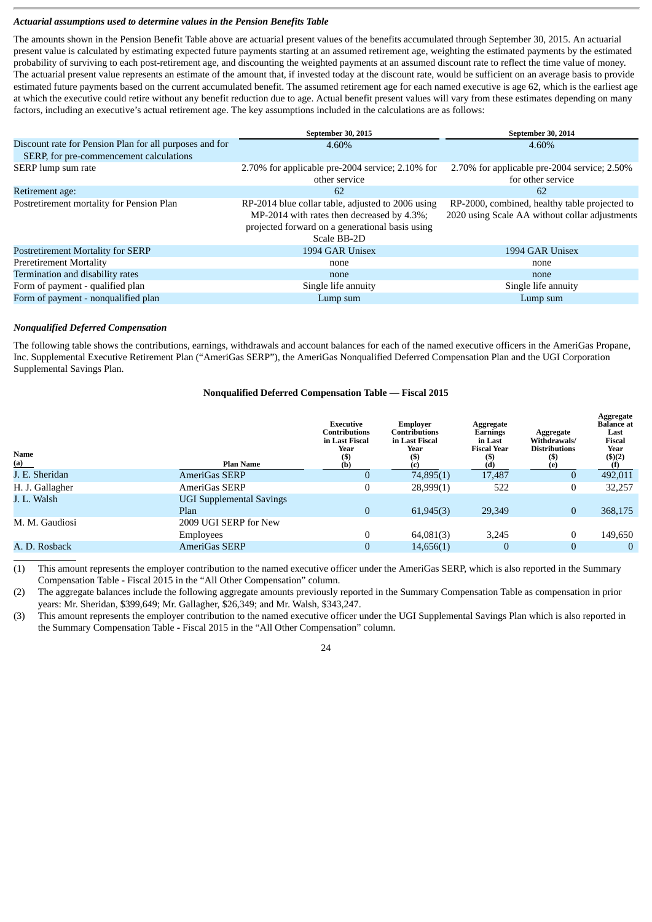#### *Actuarial assumptions used to determine values in the Pension Benefits Table*

The amounts shown in the Pension Benefit Table above are actuarial present values of the benefits accumulated through September 30, 2015. An actuarial present value is calculated by estimating expected future payments starting at an assumed retirement age, weighting the estimated payments by the estimated probability of surviving to each post-retirement age, and discounting the weighted payments at an assumed discount rate to reflect the time value of money. The actuarial present value represents an estimate of the amount that, if invested today at the discount rate, would be sufficient on an average basis to provide estimated future payments based on the current accumulated benefit. The assumed retirement age for each named executive is age 62, which is the earliest age at which the executive could retire without any benefit reduction due to age. Actual benefit present values will vary from these estimates depending on many factors, including an executive's actual retirement age. The key assumptions included in the calculations are as follows:

|                                                         | September 30, 2015                                                                                                                                                | September 30, 2014                                                                              |
|---------------------------------------------------------|-------------------------------------------------------------------------------------------------------------------------------------------------------------------|-------------------------------------------------------------------------------------------------|
| Discount rate for Pension Plan for all purposes and for | 4.60%                                                                                                                                                             | 4.60%                                                                                           |
| SERP, for pre-commencement calculations                 |                                                                                                                                                                   |                                                                                                 |
| SERP lump sum rate                                      | 2.70% for applicable pre-2004 service; 2.10% for<br>other service                                                                                                 | 2.70% for applicable pre-2004 service; 2.50%<br>for other service                               |
| Retirement age:                                         | 62                                                                                                                                                                | 62                                                                                              |
| Postretirement mortality for Pension Plan               | RP-2014 blue collar table, adjusted to 2006 using<br>MP-2014 with rates then decreased by 4.3%;<br>projected forward on a generational basis using<br>Scale BB-2D | RP-2000, combined, healthy table projected to<br>2020 using Scale AA without collar adjustments |
| <b>Postretirement Mortality for SERP</b>                | 1994 GAR Unisex                                                                                                                                                   | 1994 GAR Unisex                                                                                 |
| <b>Preretirement Mortality</b>                          | none                                                                                                                                                              | none                                                                                            |
| Termination and disability rates                        | none                                                                                                                                                              | none                                                                                            |
| Form of payment - qualified plan                        | Single life annuity                                                                                                                                               | Single life annuity                                                                             |
| Form of payment - nonqualified plan                     | Lump sum                                                                                                                                                          | Lump sum                                                                                        |

#### *Nonqualified Deferred Compensation*

The following table shows the contributions, earnings, withdrawals and account balances for each of the named executive officers in the AmeriGas Propane, Inc. Supplemental Executive Retirement Plan ("AmeriGas SERP"), the AmeriGas Nonqualified Deferred Compensation Plan and the UGI Corporation Supplemental Savings Plan.

# **Nonqualified Deferred Compensation Table — Fiscal 2015**

| Name<br>(a)     | <b>Plan Name</b>                        | Executive<br><b>Contributions</b><br>in Last Fiscal<br>Year<br>$($ \$<br>(b) | Emplover<br><b>Contributions</b><br>in Last Fiscal<br>Year<br>(S)<br>(c) | Aggregate<br>Earnings<br>in Last<br><b>Fiscal Year</b><br>(5)<br>(d) | Aggregate<br>Withdrawals/<br><b>Distributions</b><br>(\$)<br>(e) | Aggregate<br><b>Balance</b> at<br>Last<br><b>Fiscal</b><br>Year<br>\$)(2) |
|-----------------|-----------------------------------------|------------------------------------------------------------------------------|--------------------------------------------------------------------------|----------------------------------------------------------------------|------------------------------------------------------------------|---------------------------------------------------------------------------|
| J. E. Sheridan  | AmeriGas SERP                           | υ                                                                            | 74,895(1)                                                                | 17,487                                                               | 0                                                                | 492,011                                                                   |
| H. J. Gallagher | AmeriGas SERP                           | 0                                                                            | 28,999(1)                                                                | 522                                                                  | 0                                                                | 32,257                                                                    |
| J. L. Walsh     | <b>UGI Supplemental Savings</b><br>Plan | $\overline{0}$                                                               | 61,945(3)                                                                | 29,349                                                               | $\overline{0}$                                                   | 368,175                                                                   |
| M. M. Gaudiosi  | 2009 UGI SERP for New                   |                                                                              |                                                                          |                                                                      |                                                                  |                                                                           |
|                 | Employees                               |                                                                              | 64,081(3)                                                                | 3.245                                                                | 0                                                                | 149,650                                                                   |
| A. D. Rosback   | AmeriGas SERP                           | $\overline{0}$                                                               | 14,656(1)                                                                |                                                                      | $\mathbf{0}$                                                     | $\overline{0}$                                                            |
|                 |                                         |                                                                              |                                                                          |                                                                      |                                                                  |                                                                           |

(1) This amount represents the employer contribution to the named executive officer under the AmeriGas SERP, which is also reported in the Summary Compensation Table **-** Fiscal 2015 in the "All Other Compensation" column.

(2) The aggregate balances include the following aggregate amounts previously reported in the Summary Compensation Table as compensation in prior years: Mr. Sheridan, \$399,649; Mr. Gallagher, \$26,349; and Mr. Walsh, \$343,247.

(3) This amount represents the employer contribution to the named executive officer under the UGI Supplemental Savings Plan which is also reported in the Summary Compensation Table **-** Fiscal 2015 in the "All Other Compensation" column.

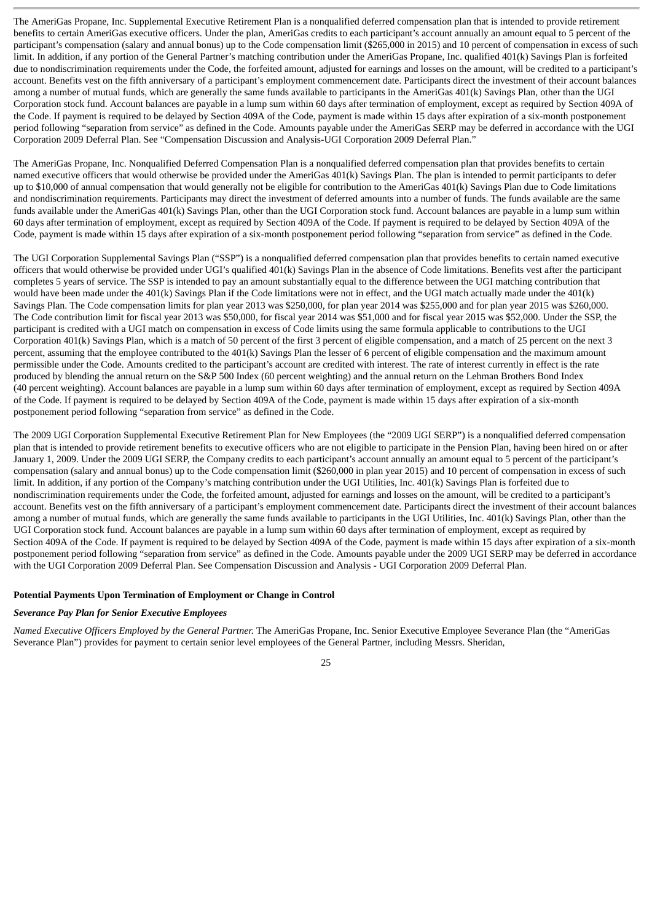The AmeriGas Propane, Inc. Supplemental Executive Retirement Plan is a nonqualified deferred compensation plan that is intended to provide retirement benefits to certain AmeriGas executive officers. Under the plan, AmeriGas credits to each participant's account annually an amount equal to 5 percent of the participant's compensation (salary and annual bonus) up to the Code compensation limit (\$265,000 in 2015) and 10 percent of compensation in excess of such limit. In addition, if any portion of the General Partner's matching contribution under the AmeriGas Propane, Inc. qualified 401(k) Savings Plan is forfeited due to nondiscrimination requirements under the Code, the forfeited amount, adjusted for earnings and losses on the amount, will be credited to a participant's account. Benefits vest on the fifth anniversary of a participant's employment commencement date. Participants direct the investment of their account balances among a number of mutual funds, which are generally the same funds available to participants in the AmeriGas 401(k) Savings Plan, other than the UGI Corporation stock fund. Account balances are payable in a lump sum within 60 days after termination of employment, except as required by Section 409A of the Code. If payment is required to be delayed by Section 409A of the Code, payment is made within 15 days after expiration of a six-month postponement period following "separation from service" as defined in the Code. Amounts payable under the AmeriGas SERP may be deferred in accordance with the UGI Corporation 2009 Deferral Plan. See "Compensation Discussion and Analysis-UGI Corporation 2009 Deferral Plan."

The AmeriGas Propane, Inc. Nonqualified Deferred Compensation Plan is a nonqualified deferred compensation plan that provides benefits to certain named executive officers that would otherwise be provided under the AmeriGas 401(k) Savings Plan. The plan is intended to permit participants to defer up to \$10,000 of annual compensation that would generally not be eligible for contribution to the AmeriGas 401(k) Savings Plan due to Code limitations and nondiscrimination requirements. Participants may direct the investment of deferred amounts into a number of funds. The funds available are the same funds available under the AmeriGas 401(k) Savings Plan, other than the UGI Corporation stock fund. Account balances are payable in a lump sum within 60 days after termination of employment, except as required by Section 409A of the Code. If payment is required to be delayed by Section 409A of the Code, payment is made within 15 days after expiration of a six-month postponement period following "separation from service" as defined in the Code.

The UGI Corporation Supplemental Savings Plan ("SSP") is a nonqualified deferred compensation plan that provides benefits to certain named executive officers that would otherwise be provided under UGI's qualified 401(k) Savings Plan in the absence of Code limitations. Benefits vest after the participant completes 5 years of service. The SSP is intended to pay an amount substantially equal to the difference between the UGI matching contribution that would have been made under the 401(k) Savings Plan if the Code limitations were not in effect, and the UGI match actually made under the 401(k) Savings Plan. The Code compensation limits for plan year 2013 was \$250,000, for plan year 2014 was \$255,000 and for plan year 2015 was \$260,000. The Code contribution limit for fiscal year 2013 was \$50,000, for fiscal year 2014 was \$51,000 and for fiscal year 2015 was \$52,000. Under the SSP, the participant is credited with a UGI match on compensation in excess of Code limits using the same formula applicable to contributions to the UGI Corporation 401(k) Savings Plan, which is a match of 50 percent of the first 3 percent of eligible compensation, and a match of 25 percent on the next 3 percent, assuming that the employee contributed to the 401(k) Savings Plan the lesser of 6 percent of eligible compensation and the maximum amount permissible under the Code. Amounts credited to the participant's account are credited with interest. The rate of interest currently in effect is the rate produced by blending the annual return on the S&P 500 Index (60 percent weighting) and the annual return on the Lehman Brothers Bond Index (40 percent weighting). Account balances are payable in a lump sum within 60 days after termination of employment, except as required by Section 409A of the Code. If payment is required to be delayed by Section 409A of the Code, payment is made within 15 days after expiration of a six-month postponement period following "separation from service" as defined in the Code.

The 2009 UGI Corporation Supplemental Executive Retirement Plan for New Employees (the "2009 UGI SERP") is a nonqualified deferred compensation plan that is intended to provide retirement benefits to executive officers who are not eligible to participate in the Pension Plan, having been hired on or after January 1, 2009. Under the 2009 UGI SERP, the Company credits to each participant's account annually an amount equal to 5 percent of the participant's compensation (salary and annual bonus) up to the Code compensation limit (\$260,000 in plan year 2015) and 10 percent of compensation in excess of such limit. In addition, if any portion of the Company's matching contribution under the UGI Utilities, Inc. 401(k) Savings Plan is forfeited due to nondiscrimination requirements under the Code, the forfeited amount, adjusted for earnings and losses on the amount, will be credited to a participant's account. Benefits vest on the fifth anniversary of a participant's employment commencement date. Participants direct the investment of their account balances among a number of mutual funds, which are generally the same funds available to participants in the UGI Utilities, Inc. 401(k) Savings Plan, other than the UGI Corporation stock fund. Account balances are payable in a lump sum within 60 days after termination of employment, except as required by Section 409A of the Code. If payment is required to be delayed by Section 409A of the Code, payment is made within 15 days after expiration of a six-month postponement period following "separation from service" as defined in the Code. Amounts payable under the 2009 UGI SERP may be deferred in accordance with the UGI Corporation 2009 Deferral Plan. See Compensation Discussion and Analysis - UGI Corporation 2009 Deferral Plan.

# **Potential Payments Upon Termination of Employment or Change in Control**

#### *Severance Pay Plan for Senior Executive Employees*

*Named Executive Officers Employed by the General Partner.* The AmeriGas Propane, Inc. Senior Executive Employee Severance Plan (the "AmeriGas Severance Plan") provides for payment to certain senior level employees of the General Partner, including Messrs. Sheridan,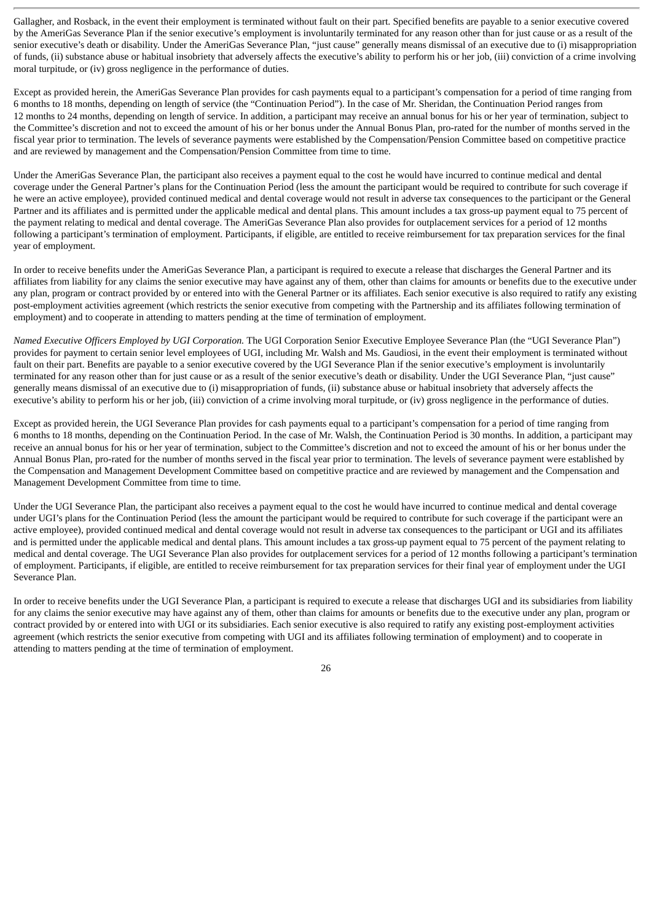Gallagher, and Rosback, in the event their employment is terminated without fault on their part. Specified benefits are payable to a senior executive covered by the AmeriGas Severance Plan if the senior executive's employment is involuntarily terminated for any reason other than for just cause or as a result of the senior executive's death or disability. Under the AmeriGas Severance Plan, "just cause" generally means dismissal of an executive due to (i) misappropriation of funds, (ii) substance abuse or habitual insobriety that adversely affects the executive's ability to perform his or her job, (iii) conviction of a crime involving moral turpitude, or (iv) gross negligence in the performance of duties.

Except as provided herein, the AmeriGas Severance Plan provides for cash payments equal to a participant's compensation for a period of time ranging from 6 months to 18 months, depending on length of service (the "Continuation Period"). In the case of Mr. Sheridan, the Continuation Period ranges from 12 months to 24 months, depending on length of service. In addition, a participant may receive an annual bonus for his or her year of termination, subject to the Committee's discretion and not to exceed the amount of his or her bonus under the Annual Bonus Plan, pro-rated for the number of months served in the fiscal year prior to termination. The levels of severance payments were established by the Compensation/Pension Committee based on competitive practice and are reviewed by management and the Compensation/Pension Committee from time to time.

Under the AmeriGas Severance Plan, the participant also receives a payment equal to the cost he would have incurred to continue medical and dental coverage under the General Partner's plans for the Continuation Period (less the amount the participant would be required to contribute for such coverage if he were an active employee), provided continued medical and dental coverage would not result in adverse tax consequences to the participant or the General Partner and its affiliates and is permitted under the applicable medical and dental plans. This amount includes a tax gross-up payment equal to 75 percent of the payment relating to medical and dental coverage. The AmeriGas Severance Plan also provides for outplacement services for a period of 12 months following a participant's termination of employment. Participants, if eligible, are entitled to receive reimbursement for tax preparation services for the final year of employment.

In order to receive benefits under the AmeriGas Severance Plan, a participant is required to execute a release that discharges the General Partner and its affiliates from liability for any claims the senior executive may have against any of them, other than claims for amounts or benefits due to the executive under any plan, program or contract provided by or entered into with the General Partner or its affiliates. Each senior executive is also required to ratify any existing post-employment activities agreement (which restricts the senior executive from competing with the Partnership and its affiliates following termination of employment) and to cooperate in attending to matters pending at the time of termination of employment.

*Named Executive Officers Employed by UGI Corporation.* The UGI Corporation Senior Executive Employee Severance Plan (the "UGI Severance Plan") provides for payment to certain senior level employees of UGI, including Mr. Walsh and Ms. Gaudiosi, in the event their employment is terminated without fault on their part. Benefits are payable to a senior executive covered by the UGI Severance Plan if the senior executive's employment is involuntarily terminated for any reason other than for just cause or as a result of the senior executive's death or disability. Under the UGI Severance Plan, "just cause" generally means dismissal of an executive due to (i) misappropriation of funds, (ii) substance abuse or habitual insobriety that adversely affects the executive's ability to perform his or her job, (iii) conviction of a crime involving moral turpitude, or (iv) gross negligence in the performance of duties.

Except as provided herein, the UGI Severance Plan provides for cash payments equal to a participant's compensation for a period of time ranging from 6 months to 18 months, depending on the Continuation Period. In the case of Mr. Walsh, the Continuation Period is 30 months. In addition, a participant may receive an annual bonus for his or her year of termination, subject to the Committee's discretion and not to exceed the amount of his or her bonus under the Annual Bonus Plan, pro-rated for the number of months served in the fiscal year prior to termination. The levels of severance payment were established by the Compensation and Management Development Committee based on competitive practice and are reviewed by management and the Compensation and Management Development Committee from time to time.

Under the UGI Severance Plan, the participant also receives a payment equal to the cost he would have incurred to continue medical and dental coverage under UGI's plans for the Continuation Period (less the amount the participant would be required to contribute for such coverage if the participant were an active employee), provided continued medical and dental coverage would not result in adverse tax consequences to the participant or UGI and its affiliates and is permitted under the applicable medical and dental plans. This amount includes a tax gross-up payment equal to 75 percent of the payment relating to medical and dental coverage. The UGI Severance Plan also provides for outplacement services for a period of 12 months following a participant's termination of employment. Participants, if eligible, are entitled to receive reimbursement for tax preparation services for their final year of employment under the UGI Severance Plan.

In order to receive benefits under the UGI Severance Plan, a participant is required to execute a release that discharges UGI and its subsidiaries from liability for any claims the senior executive may have against any of them, other than claims for amounts or benefits due to the executive under any plan, program or contract provided by or entered into with UGI or its subsidiaries. Each senior executive is also required to ratify any existing post-employment activities agreement (which restricts the senior executive from competing with UGI and its affiliates following termination of employment) and to cooperate in attending to matters pending at the time of termination of employment.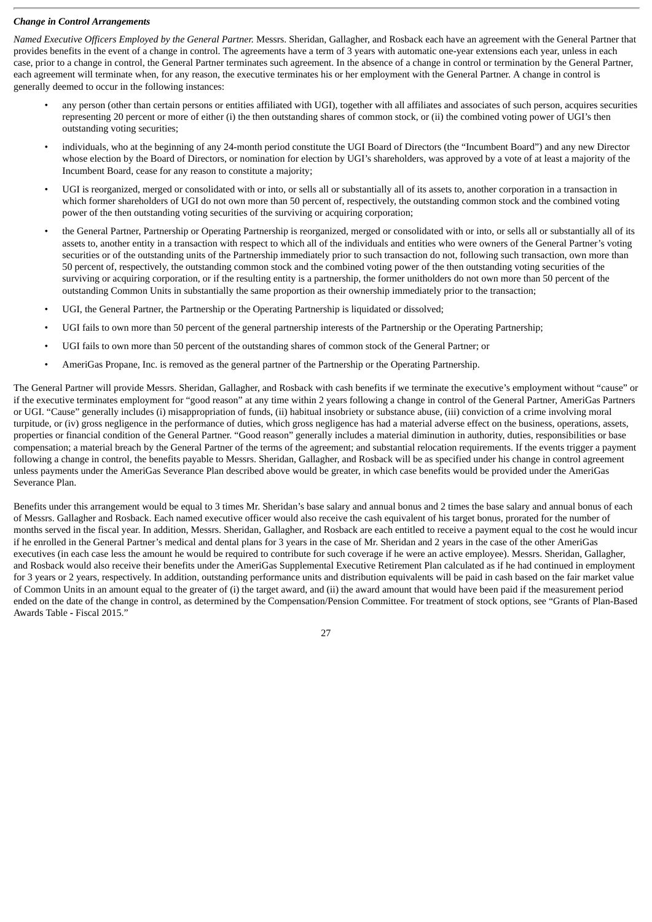# *Change in Control Arrangements*

*Named Executive Officers Employed by the General Partner.* Messrs. Sheridan, Gallagher, and Rosback each have an agreement with the General Partner that provides benefits in the event of a change in control. The agreements have a term of 3 years with automatic one-year extensions each year, unless in each case, prior to a change in control, the General Partner terminates such agreement. In the absence of a change in control or termination by the General Partner, each agreement will terminate when, for any reason, the executive terminates his or her employment with the General Partner. A change in control is generally deemed to occur in the following instances:

- any person (other than certain persons or entities affiliated with UGI), together with all affiliates and associates of such person, acquires securities representing 20 percent or more of either (i) the then outstanding shares of common stock, or (ii) the combined voting power of UGI's then outstanding voting securities;
- individuals, who at the beginning of any 24-month period constitute the UGI Board of Directors (the "Incumbent Board") and any new Director whose election by the Board of Directors, or nomination for election by UGI's shareholders, was approved by a vote of at least a majority of the Incumbent Board, cease for any reason to constitute a majority;
- UGI is reorganized, merged or consolidated with or into, or sells all or substantially all of its assets to, another corporation in a transaction in which former shareholders of UGI do not own more than 50 percent of, respectively, the outstanding common stock and the combined voting power of the then outstanding voting securities of the surviving or acquiring corporation;
- the General Partner, Partnership or Operating Partnership is reorganized, merged or consolidated with or into, or sells all or substantially all of its assets to, another entity in a transaction with respect to which all of the individuals and entities who were owners of the General Partner's voting securities or of the outstanding units of the Partnership immediately prior to such transaction do not, following such transaction, own more than 50 percent of, respectively, the outstanding common stock and the combined voting power of the then outstanding voting securities of the surviving or acquiring corporation, or if the resulting entity is a partnership, the former unitholders do not own more than 50 percent of the outstanding Common Units in substantially the same proportion as their ownership immediately prior to the transaction;
- UGI, the General Partner, the Partnership or the Operating Partnership is liquidated or dissolved;
- UGI fails to own more than 50 percent of the general partnership interests of the Partnership or the Operating Partnership;
- UGI fails to own more than 50 percent of the outstanding shares of common stock of the General Partner; or
- AmeriGas Propane, Inc. is removed as the general partner of the Partnership or the Operating Partnership.

The General Partner will provide Messrs. Sheridan, Gallagher, and Rosback with cash benefits if we terminate the executive's employment without "cause" or if the executive terminates employment for "good reason" at any time within 2 years following a change in control of the General Partner, AmeriGas Partners or UGI. "Cause" generally includes (i) misappropriation of funds, (ii) habitual insobriety or substance abuse, (iii) conviction of a crime involving moral turpitude, or (iv) gross negligence in the performance of duties, which gross negligence has had a material adverse effect on the business, operations, assets, properties or financial condition of the General Partner. "Good reason" generally includes a material diminution in authority, duties, responsibilities or base compensation; a material breach by the General Partner of the terms of the agreement; and substantial relocation requirements. If the events trigger a payment following a change in control, the benefits payable to Messrs. Sheridan, Gallagher, and Rosback will be as specified under his change in control agreement unless payments under the AmeriGas Severance Plan described above would be greater, in which case benefits would be provided under the AmeriGas Severance Plan.

Benefits under this arrangement would be equal to 3 times Mr. Sheridan's base salary and annual bonus and 2 times the base salary and annual bonus of each of Messrs. Gallagher and Rosback. Each named executive officer would also receive the cash equivalent of his target bonus, prorated for the number of months served in the fiscal year. In addition, Messrs. Sheridan, Gallagher, and Rosback are each entitled to receive a payment equal to the cost he would incur if he enrolled in the General Partner's medical and dental plans for 3 years in the case of Mr. Sheridan and 2 years in the case of the other AmeriGas executives (in each case less the amount he would be required to contribute for such coverage if he were an active employee). Messrs. Sheridan, Gallagher, and Rosback would also receive their benefits under the AmeriGas Supplemental Executive Retirement Plan calculated as if he had continued in employment for 3 years or 2 years, respectively. In addition, outstanding performance units and distribution equivalents will be paid in cash based on the fair market value of Common Units in an amount equal to the greater of (i) the target award, and (ii) the award amount that would have been paid if the measurement period ended on the date of the change in control, as determined by the Compensation/Pension Committee. For treatment of stock options, see "Grants of Plan-Based Awards Table **-** Fiscal 2015."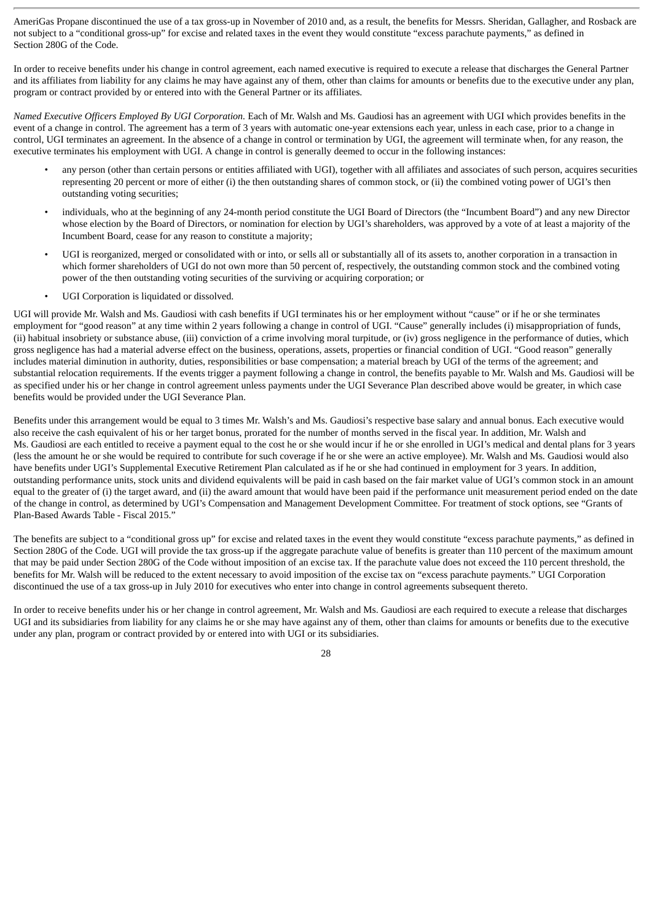AmeriGas Propane discontinued the use of a tax gross-up in November of 2010 and, as a result, the benefits for Messrs. Sheridan, Gallagher, and Rosback are not subject to a "conditional gross-up" for excise and related taxes in the event they would constitute "excess parachute payments," as defined in Section 280G of the Code.

In order to receive benefits under his change in control agreement, each named executive is required to execute a release that discharges the General Partner and its affiliates from liability for any claims he may have against any of them, other than claims for amounts or benefits due to the executive under any plan, program or contract provided by or entered into with the General Partner or its affiliates.

*Named Executive Officers Employed By UGI Corporation.* Each of Mr. Walsh and Ms. Gaudiosi has an agreement with UGI which provides benefits in the event of a change in control. The agreement has a term of 3 years with automatic one-year extensions each year, unless in each case, prior to a change in control, UGI terminates an agreement. In the absence of a change in control or termination by UGI, the agreement will terminate when, for any reason, the executive terminates his employment with UGI. A change in control is generally deemed to occur in the following instances:

- any person (other than certain persons or entities affiliated with UGI), together with all affiliates and associates of such person, acquires securities representing 20 percent or more of either (i) the then outstanding shares of common stock, or (ii) the combined voting power of UGI's then outstanding voting securities;
- individuals, who at the beginning of any 24-month period constitute the UGI Board of Directors (the "Incumbent Board") and any new Director whose election by the Board of Directors, or nomination for election by UGI's shareholders, was approved by a vote of at least a majority of the Incumbent Board, cease for any reason to constitute a majority;
- UGI is reorganized, merged or consolidated with or into, or sells all or substantially all of its assets to, another corporation in a transaction in which former shareholders of UGI do not own more than 50 percent of, respectively, the outstanding common stock and the combined voting power of the then outstanding voting securities of the surviving or acquiring corporation; or
- UGI Corporation is liquidated or dissolved.

UGI will provide Mr. Walsh and Ms. Gaudiosi with cash benefits if UGI terminates his or her employment without "cause" or if he or she terminates employment for "good reason" at any time within 2 years following a change in control of UGI. "Cause" generally includes (i) misappropriation of funds, (ii) habitual insobriety or substance abuse, (iii) conviction of a crime involving moral turpitude, or (iv) gross negligence in the performance of duties, which gross negligence has had a material adverse effect on the business, operations, assets, properties or financial condition of UGI. "Good reason" generally includes material diminution in authority, duties, responsibilities or base compensation; a material breach by UGI of the terms of the agreement; and substantial relocation requirements. If the events trigger a payment following a change in control, the benefits payable to Mr. Walsh and Ms. Gaudiosi will be as specified under his or her change in control agreement unless payments under the UGI Severance Plan described above would be greater, in which case benefits would be provided under the UGI Severance Plan.

Benefits under this arrangement would be equal to 3 times Mr. Walsh's and Ms. Gaudiosi's respective base salary and annual bonus. Each executive would also receive the cash equivalent of his or her target bonus, prorated for the number of months served in the fiscal year. In addition, Mr. Walsh and Ms. Gaudiosi are each entitled to receive a payment equal to the cost he or she would incur if he or she enrolled in UGI's medical and dental plans for 3 years (less the amount he or she would be required to contribute for such coverage if he or she were an active employee). Mr. Walsh and Ms. Gaudiosi would also have benefits under UGI's Supplemental Executive Retirement Plan calculated as if he or she had continued in employment for 3 years. In addition, outstanding performance units, stock units and dividend equivalents will be paid in cash based on the fair market value of UGI's common stock in an amount equal to the greater of (i) the target award, and (ii) the award amount that would have been paid if the performance unit measurement period ended on the date of the change in control, as determined by UGI's Compensation and Management Development Committee. For treatment of stock options, see "Grants of Plan-Based Awards Table - Fiscal 2015."

The benefits are subject to a "conditional gross up" for excise and related taxes in the event they would constitute "excess parachute payments," as defined in Section 280G of the Code. UGI will provide the tax gross-up if the aggregate parachute value of benefits is greater than 110 percent of the maximum amount that may be paid under Section 280G of the Code without imposition of an excise tax. If the parachute value does not exceed the 110 percent threshold, the benefits for Mr. Walsh will be reduced to the extent necessary to avoid imposition of the excise tax on "excess parachute payments." UGI Corporation discontinued the use of a tax gross-up in July 2010 for executives who enter into change in control agreements subsequent thereto.

In order to receive benefits under his or her change in control agreement, Mr. Walsh and Ms. Gaudiosi are each required to execute a release that discharges UGI and its subsidiaries from liability for any claims he or she may have against any of them, other than claims for amounts or benefits due to the executive under any plan, program or contract provided by or entered into with UGI or its subsidiaries.

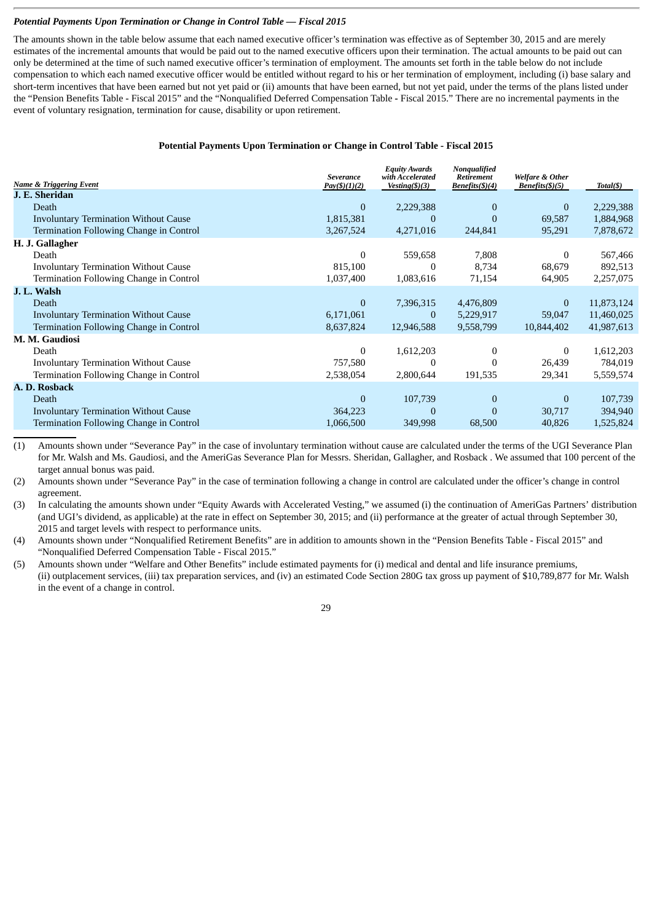# *Potential Payments Upon Termination or Change in Control Table — Fiscal 2015*

The amounts shown in the table below assume that each named executive officer's termination was effective as of September 30, 2015 and are merely estimates of the incremental amounts that would be paid out to the named executive officers upon their termination. The actual amounts to be paid out can only be determined at the time of such named executive officer's termination of employment. The amounts set forth in the table below do not include compensation to which each named executive officer would be entitled without regard to his or her termination of employment, including (i) base salary and short-term incentives that have been earned but not yet paid or (ii) amounts that have been earned, but not yet paid, under the terms of the plans listed under the "Pension Benefits Table - Fiscal 2015" and the "Nonqualified Deferred Compensation Table **-** Fiscal 2015." There are no incremental payments in the event of voluntary resignation, termination for cause, disability or upon retirement.

# **Potential Payments Upon Termination or Change in Control Table - Fiscal 2015**

| <b>Name &amp; Triggering Event</b>           | <b>Severance</b><br>Pay(\$)(1)(2) | <b>Equity Awards</b><br>with Accelerated<br>Vesting $(3)(3)$ | Nonqualified<br>Retirement<br>Benefits(\$)(4) | Welfare & Other<br>Benefits(f)(5) | Total(\$)  |
|----------------------------------------------|-----------------------------------|--------------------------------------------------------------|-----------------------------------------------|-----------------------------------|------------|
| J. E. Sheridan                               |                                   |                                                              |                                               |                                   |            |
| Death                                        | $\Omega$                          | 2,229,388                                                    | $\Omega$                                      | $\bf{0}$                          | 2,229,388  |
| <b>Involuntary Termination Without Cause</b> | 1,815,381                         | $\overline{0}$                                               |                                               | 69,587                            | 1,884,968  |
| Termination Following Change in Control      | 3,267,524                         | 4,271,016                                                    | 244,841                                       | 95,291                            | 7,878,672  |
| H. J. Gallagher                              |                                   |                                                              |                                               |                                   |            |
| Death                                        | 0                                 | 559,658                                                      | 7,808                                         | $\mathbf{0}$                      | 567,466    |
| <b>Involuntary Termination Without Cause</b> | 815,100                           | 0                                                            | 8,734                                         | 68,679                            | 892,513    |
| Termination Following Change in Control      | 1,037,400                         | 1,083,616                                                    | 71,154                                        | 64,905                            | 2,257,075  |
| J. L. Walsh                                  |                                   |                                                              |                                               |                                   |            |
| Death                                        | $\overline{0}$                    | 7,396,315                                                    | 4,476,809                                     | $\mathbf{0}$                      | 11,873,124 |
| <b>Involuntary Termination Without Cause</b> | 6,171,061                         | $\mathbf{0}$                                                 | 5,229,917                                     | 59,047                            | 11,460,025 |
| Termination Following Change in Control      | 8,637,824                         | 12,946,588                                                   | 9,558,799                                     | 10,844,402                        | 41,987,613 |
| M. M. Gaudiosi                               |                                   |                                                              |                                               |                                   |            |
| Death                                        | 0                                 | 1,612,203                                                    |                                               | 0                                 | 1,612,203  |
| <b>Involuntary Termination Without Cause</b> | 757,580                           | $\Omega$                                                     |                                               | 26,439                            | 784,019    |
| Termination Following Change in Control      | 2,538,054                         | 2,800,644                                                    | 191,535                                       | 29,341                            | 5,559,574  |
| A. D. Rosback                                |                                   |                                                              |                                               |                                   |            |
| Death                                        | $\overline{0}$                    | 107,739                                                      | $\theta$                                      | $\mathbf{0}$                      | 107,739    |
| <b>Involuntary Termination Without Cause</b> | 364,223                           | $\overline{0}$                                               | $\theta$                                      | 30,717                            | 394,940    |
| Termination Following Change in Control      | 1,066,500                         | 349,998                                                      | 68,500                                        | 40,826                            | 1,525,824  |

(1) Amounts shown under "Severance Pay" in the case of involuntary termination without cause are calculated under the terms of the UGI Severance Plan for Mr. Walsh and Ms. Gaudiosi, and the AmeriGas Severance Plan for Messrs. Sheridan, Gallagher, and Rosback . We assumed that 100 percent of the target annual bonus was paid.

(2) Amounts shown under "Severance Pay" in the case of termination following a change in control are calculated under the officer's change in control agreement.

(3) In calculating the amounts shown under "Equity Awards with Accelerated Vesting," we assumed (i) the continuation of AmeriGas Partners' distribution (and UGI's dividend, as applicable) at the rate in effect on September 30, 2015; and (ii) performance at the greater of actual through September 30, 2015 and target levels with respect to performance units.

(4) Amounts shown under "Nonqualified Retirement Benefits" are in addition to amounts shown in the "Pension Benefits Table - Fiscal 2015" and "Nonqualified Deferred Compensation Table - Fiscal 2015."

(5) Amounts shown under "Welfare and Other Benefits" include estimated payments for (i) medical and dental and life insurance premiums, (ii) outplacement services, (iii) tax preparation services, and (iv) an estimated Code Section 280G tax gross up payment of \$10,789,877 for Mr. Walsh in the event of a change in control.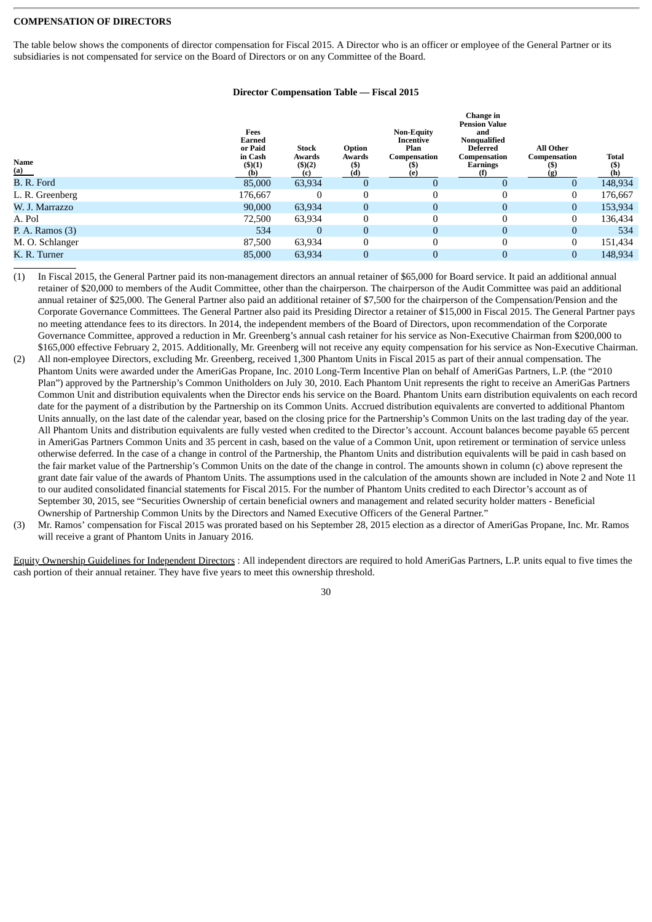#### **COMPENSATION OF DIRECTORS**

The table below shows the components of director compensation for Fiscal 2015. A Director who is an officer or employee of the General Partner or its subsidiaries is not compensated for service on the Board of Directors or on any Committee of the Board.

|  | <b>Director Compensation Table — Fiscal 2015</b> |  |  |
|--|--------------------------------------------------|--|--|
|--|--------------------------------------------------|--|--|

| Name<br>(a)       | Fees<br>Earned<br>or Paid<br>in Cash<br>$($ \$ $)(1)$<br>(b) | <b>Stock</b><br>Awards<br>$($ \$ $)(2)$<br>(c) | Option<br>Awards<br>(S)<br>(d) | <b>Non-Equity</b><br>Incentive<br>Plan<br>Compensation<br>(e) | Change in<br><b>Pension Value</b><br>and<br>Nonqualified<br>Deferred<br>Compensation<br><b>Earnings</b><br>(f) | <b>All Other</b><br>Compensation<br>(g) | <b>Total</b><br>(S)<br>(h) |
|-------------------|--------------------------------------------------------------|------------------------------------------------|--------------------------------|---------------------------------------------------------------|----------------------------------------------------------------------------------------------------------------|-----------------------------------------|----------------------------|
| B. R. Ford        | 85,000                                                       | 63,934                                         | $\bf{0}$                       | $\Omega$                                                      |                                                                                                                | $\Omega$                                | 148,934                    |
| L. R. Greenberg   | 176,667                                                      | $\Omega$                                       | $\mathbf{0}$                   | 0                                                             |                                                                                                                |                                         | 176,667                    |
| W. J. Marrazzo    | 90,000                                                       | 63,934                                         | $\mathbf{0}$                   | $\overline{0}$                                                | $\Omega$                                                                                                       | $\mathbf{0}$                            | 153,934                    |
| A. Pol            | 72,500                                                       | 63,934                                         | $\boldsymbol{0}$               | 0                                                             |                                                                                                                | 0                                       | 136,434                    |
| P. A. Ramos $(3)$ | 534                                                          | $\Omega$                                       | $\boldsymbol{0}$               | $\overline{0}$                                                | $\Omega$                                                                                                       | 0                                       | 534                        |
| M. O. Schlanger   | 87,500                                                       | 63,934                                         | $\boldsymbol{0}$               | 0                                                             |                                                                                                                | 0                                       | 151,434                    |
| K. R. Turner      | 85,000                                                       | 63,934                                         | $\bf{0}$                       | $\overline{0}$                                                |                                                                                                                |                                         | 148,934                    |

- (1) In Fiscal 2015, the General Partner paid its non-management directors an annual retainer of \$65,000 for Board service. It paid an additional annual retainer of \$20,000 to members of the Audit Committee, other than the chairperson. The chairperson of the Audit Committee was paid an additional annual retainer of \$25,000. The General Partner also paid an additional retainer of \$7,500 for the chairperson of the Compensation/Pension and the Corporate Governance Committees. The General Partner also paid its Presiding Director a retainer of \$15,000 in Fiscal 2015. The General Partner pays no meeting attendance fees to its directors. In 2014, the independent members of the Board of Directors, upon recommendation of the Corporate Governance Committee, approved a reduction in Mr. Greenberg's annual cash retainer for his service as Non-Executive Chairman from \$200,000 to \$165,000 effective February 2, 2015. Additionally, Mr. Greenberg will not receive any equity compensation for his service as Non-Executive Chairman.
- (2) All non-employee Directors, excluding Mr. Greenberg, received 1,300 Phantom Units in Fiscal 2015 as part of their annual compensation. The Phantom Units were awarded under the AmeriGas Propane, Inc. 2010 Long-Term Incentive Plan on behalf of AmeriGas Partners, L.P. (the "2010 Plan") approved by the Partnership's Common Unitholders on July 30, 2010. Each Phantom Unit represents the right to receive an AmeriGas Partners Common Unit and distribution equivalents when the Director ends his service on the Board. Phantom Units earn distribution equivalents on each record date for the payment of a distribution by the Partnership on its Common Units. Accrued distribution equivalents are converted to additional Phantom Units annually, on the last date of the calendar year, based on the closing price for the Partnership's Common Units on the last trading day of the year. All Phantom Units and distribution equivalents are fully vested when credited to the Director's account. Account balances become payable 65 percent in AmeriGas Partners Common Units and 35 percent in cash, based on the value of a Common Unit, upon retirement or termination of service unless otherwise deferred. In the case of a change in control of the Partnership, the Phantom Units and distribution equivalents will be paid in cash based on the fair market value of the Partnership's Common Units on the date of the change in control. The amounts shown in column (c) above represent the grant date fair value of the awards of Phantom Units. The assumptions used in the calculation of the amounts shown are included in Note 2 and Note 11 to our audited consolidated financial statements for Fiscal 2015. For the number of Phantom Units credited to each Director's account as of September 30, 2015, see "Securities Ownership of certain beneficial owners and management and related security holder matters - Beneficial Ownership of Partnership Common Units by the Directors and Named Executive Officers of the General Partner."
- (3) Mr. Ramos' compensation for Fiscal 2015 was prorated based on his September 28, 2015 election as a director of AmeriGas Propane, Inc. Mr. Ramos will receive a grant of Phantom Units in January 2016.

Equity Ownership Guidelines for Independent Directors: All independent directors are required to hold AmeriGas Partners, L.P. units equal to five times the cash portion of their annual retainer. They have five years to meet this ownership threshold.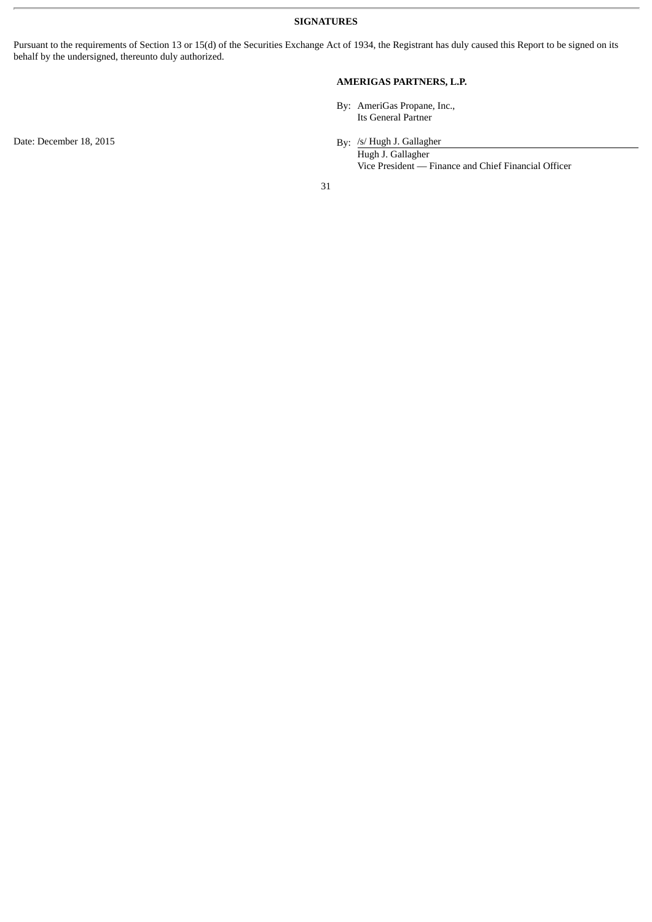**SIGNATURES**

Pursuant to the requirements of Section 13 or 15(d) of the Securities Exchange Act of 1934, the Registrant has duly caused this Report to be signed on its behalf by the undersigned, thereunto duly authorized.

# **AMERIGAS PARTNERS, L.P.**

By: AmeriGas Propane, Inc., Its General Partner

Date: December 18, 2015

/s/ Hugh J. Gallagher

Hugh J. Gallagher Vice President — Finance and Chief Financial Officer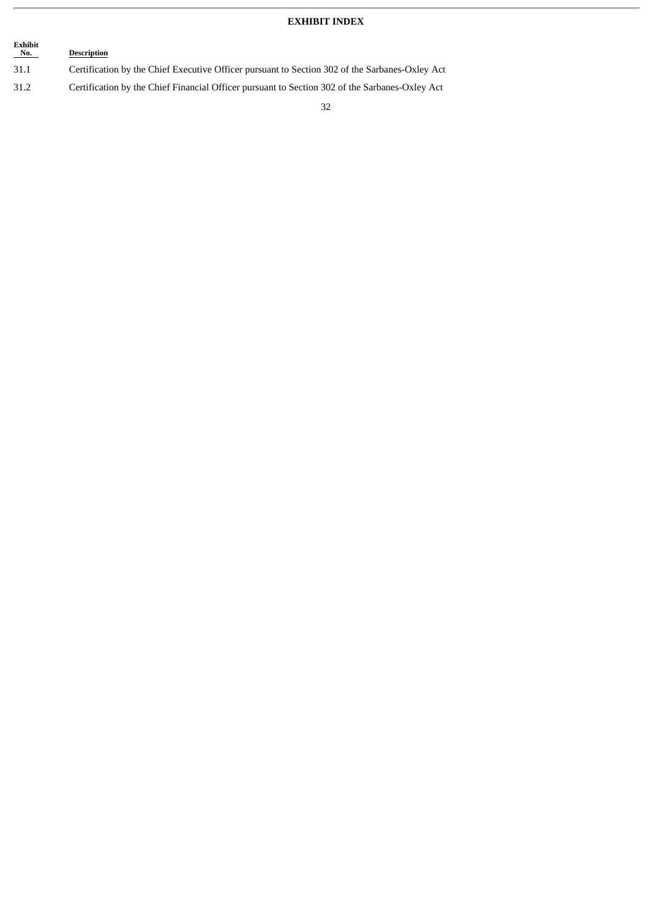# **EXHIBIT INDEX**

# **Exhibit Description**

- 31.1 Certification by the Chief Executive Officer pursuant to Section 302 of the Sarbanes-Oxley Act
- 31.2 Certification by the Chief Financial Officer pursuant to Section 302 of the Sarbanes-Oxley Act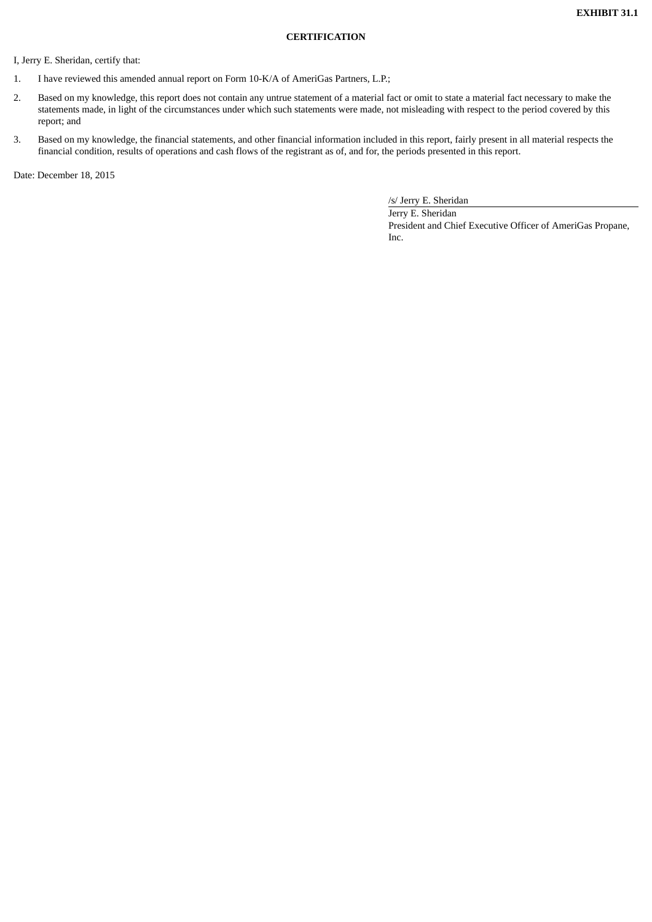# **CERTIFICATION**

I, Jerry E. Sheridan, certify that:

- 1. I have reviewed this amended annual report on Form 10-K/A of AmeriGas Partners, L.P.;
- 2. Based on my knowledge, this report does not contain any untrue statement of a material fact or omit to state a material fact necessary to make the statements made, in light of the circumstances under which such statements were made, not misleading with respect to the period covered by this report; and
- 3. Based on my knowledge, the financial statements, and other financial information included in this report, fairly present in all material respects the financial condition, results of operations and cash flows of the registrant as of, and for, the periods presented in this report.

Date: December 18, 2015

/s/ Jerry E. Sheridan

Jerry E. Sheridan President and Chief Executive Officer of AmeriGas Propane, Inc.